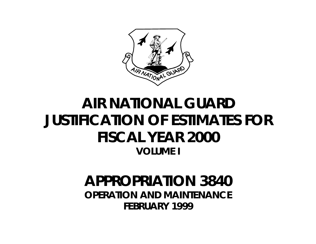

# **AIR NATIONAL GUARD JUSTIFICATION OF ESTIMATES FOR FISCAL YEAR 2000 VOLUME I**

## **APPROPRIATION 3840 OPERATION AND MAINTENANCE FEBRUARY 1999**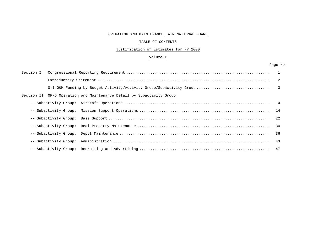#### OPERATION AND MAINTENANCE, AIR NATIONAL GUARD

## TABLE OF CONTENTS

## Justification of Estimates for FY 2000

#### Volume I

#### Page No.

| Section I |                                                                       |    |
|-----------|-----------------------------------------------------------------------|----|
|           |                                                                       |    |
|           |                                                                       |    |
|           | Section II 0P-5 Operation and Maintenance Detail by Subactivity Group |    |
|           |                                                                       |    |
|           |                                                                       |    |
|           |                                                                       |    |
|           |                                                                       |    |
|           |                                                                       |    |
|           |                                                                       | 43 |
|           |                                                                       |    |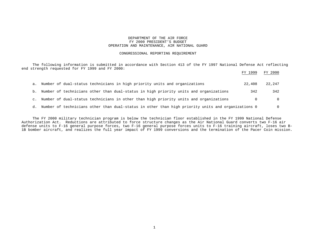#### DEPARTMENT OF THE AIR FORCE FY 2000 PRESIDENT'S BUDGET OPERATION AND MAINTENANCE, AIR NATIONAL GUARD

#### CONGRESSIONAL REPORTING REQUIREMENT

 The following information is submitted in accordance with Section 413 of the FY 1997 National Defense Act reflecting end strength requested for FY 1999 and FY 2000:

|    |                                                                                                    | FY 1999 | FY 2000 |
|----|----------------------------------------------------------------------------------------------------|---------|---------|
|    | a. Number of dual-status technicians in high priority units and organizations                      | 22,408  | 22,247  |
|    | b. Number of technicians other than dual-status in high priority units and organizations           | 342     | 342     |
|    | c. Number of dual-status technicians in other than high priority units and organizations           |         |         |
| d. | Number of technicians other than dual-status in other than high priority units and organizations 0 |         |         |

 The FY 2000 military technician program is below the technician floor established in the FY 1999 National Defense Authorization Act. Reductions are attributed to force structure changes as the Air National Guard converts two F-16 air defense units to F-16 general purpose forces, two F-16 general purpose forces units to F-16 training aircraft, loses two B-1B bomber aircraft, and realizes the full year impact of FY 1999 conversions and the termination of the Pacer Coin mission.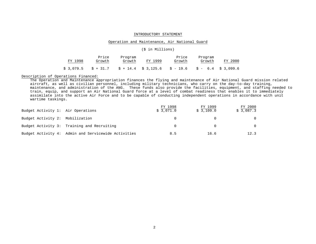#### INTRODUCTORY STATEMENT

#### Operation and Maintenance, Air National Guard

#### (\$ in Millions)

| FY 1998   | Price<br>Growth | Program<br>Growth | FY 1999 | Price<br>Growth                                          | Program<br>Growth | FY 2000 |
|-----------|-----------------|-------------------|---------|----------------------------------------------------------|-------------------|---------|
| \$3,079.5 |                 |                   |         | $$+31.7$ $$+14.4$ $$3,125.6$ $$-19.6$ $$-6.4$ $$3,099.6$ |                   |         |

#### Description of Operations Financed:

The Operation and Maintenance appropriation finances the flying and maintenance of Air National Guard mission related aircraft, as well as civilian personnel, including military technicians, who carry on the day-to-day training, maintenance, and administration of the ANG. These funds also provide the facilities, equipment, and staffing needed to train, equip, and support an Air National Guard force at a level of combat readiness that enables it to immediately assimilate into the active Air Force and to be capable of conducting independent operations in accordance with unit wartime taskings.

| Budget Activity 1: Air Operations |                                                     | FY 1998<br>\$3.071.0 | FY 1999<br>\$3,109.0 | FY 2000<br>\$3,087.3 |
|-----------------------------------|-----------------------------------------------------|----------------------|----------------------|----------------------|
| Budget Activity 2: Mobilization   |                                                     |                      |                      |                      |
|                                   | Budget Activity 3: Training and Recruiting          |                      |                      |                      |
|                                   | Budget Activity 4: Admin and Servicewide Activities | 8.5                  | 16.6                 | 12.3                 |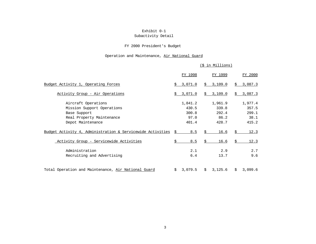## Exhibit 0-1

## Subactivity Detail

## FY 2000 President's Budget

## Operation and Maintenance, Air National Guard

|                                                                                                                                                                                   |    |                                                   |    | (\$ in Millions)                                   |    |                                                    |
|-----------------------------------------------------------------------------------------------------------------------------------------------------------------------------------|----|---------------------------------------------------|----|----------------------------------------------------|----|----------------------------------------------------|
|                                                                                                                                                                                   |    | FY 1998                                           |    | FY 1999                                            |    | FY 2000                                            |
| Budget Activity 1, Operating Forces                                                                                                                                               | Ŝ. | 3,071.0                                           |    | \$3,109.0                                          | \$ | 3,087.3                                            |
| <u>Activity Group - Air Operations</u>                                                                                                                                            | Ŝ. | 3,071.0                                           |    | \$3,109.0                                          | Ŝ. | 3,087.3                                            |
| Aircraft Operations<br>Mission Support Operations<br>Base Support<br>Real Property Maintenance<br>Depot Maintenance<br>Budget Activity 4, Administration & Servicewide Activities | Ŝ  | 1,841.2<br>430.5<br>300.8<br>97.0<br>401.4<br>8.5 | Ŝ  | 1,961.9<br>339.8<br>292.4<br>86.2<br>428.7<br>16.6 | Ŝ  | 1,977.4<br>357.5<br>299.1<br>38.1<br>415.2<br>12.3 |
| Activity Group - Servicewide Activities                                                                                                                                           | \$ | 8.5                                               | Ŝ. | 16.6                                               | Ś  | 12.3                                               |
| Administration<br>Recruiting and Advertising                                                                                                                                      |    | 2.1<br>6.4                                        |    | 2.9<br>13.7                                        |    | 2.7<br>9.6                                         |
| Total Operation and Maintenance, Air National Guard                                                                                                                               | Ŝ. | 3,079.5                                           | Ŝ. | 3,125.6                                            | Ŝ. | 3,099.6                                            |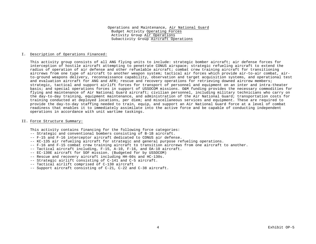#### I. Description of Operations Financed:

This activity group consists of all ANG flying units to include: strategic bomber aircraft; air defense forces for interception of hostile aircraft attempting to penetrate CONUS airspace; strategic refueling aircraft to extend the radius of operation of air defense and other refuelable aircraft; combat crew training aircraft for transitioning aircrews from one type of aircraft to another weapon system; tactical air forces which provide air-to-air combat, airto-ground weapons delivery, reconnaissance capability, observation and target acquisition systems, and operational test and evaluation aircraft for ANG and AFR; rescue and recovery operations for retrieving downed aircrew members; strategic, tactical and support airlift forces for transport of personnel and equipment on an inter and intra-theater basis; and special operations forces in support of USSOCOM missions. O&M funding provides the necessary commodities for flying and maintenance of Air National Guard aircraft; civilian personnel, including military technicians who carry on the day-to-day training, equipment maintenance, and administration of the Air National Guard; transportation costs for training conducted at deployed locations, per diem; and miscellaneous services and equipment. These are required to provide the day-to-day staffing needed to train, equip, and support an Air National Guard force at a level of combat readiness that enables it to immediately assimilate into the active force and be capable of conducting independent operations in accordance with unit wartime taskings.

#### II. Force Structure Summary:

This activity contains financing for the following force categories:

- -- Strategic and conventional bombers consisting of B-1B aircraft.
- -- F-15 and F-16 interceptor aircraft dedicated to CONUS air defense.
- -- KC-135 air refueling aircraft for strategic and general purpose refueling operations.
- -- F-16 and F-15 combat crew training aircraft to transition aircrews from one aircraft to another.
- -- Tactical aircraft including, F-15, A-10, F-16, and OA-10 aircraft.
- -- EC-130E aircraft for SOF mission. (Budgeted for by USSOCOM)
- -- Rescue and recovery aircraft including HH-60s and HC-130s.
- -- Strategic airlift consisting of C-141 and C-5 aircraft.
- -- Tactical airlift comprised of C-130 aircraft
- -- Support aircraft consisting of C-21, C-22 and C-38 aircraft.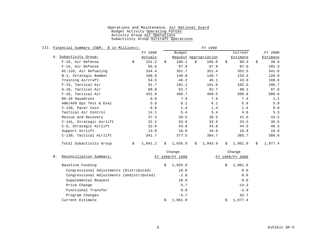| III. Financial Summary (O&M: \$ in Millions): |               |    |         |    | FY 1999               |    |          |    |          |
|-----------------------------------------------|---------------|----|---------|----|-----------------------|----|----------|----|----------|
|                                               | FY 1998       |    | Budget  |    |                       |    | Current  |    | FY 2000  |
| A. Subactivity Group:                         | Actuals       |    |         |    | Request Appropriation |    | Estimate |    | Estimate |
| F-16, Air Defense                             | \$<br>151.2   | Ŝ. | 106.1   | Ŝ. | 106.0                 | Ŝ. | 99.3     | Ŝ. | 39.9     |
| F-15, Air Defense                             | 95.6          |    | 97.9    |    | 97.9                  |    | 97.8     |    | 102.3    |
| KC-135, Air Refueling                         | 334.4         |    | 351.7   |    | 351.4                 |    | 352.5    |    | 341.6    |
| B-1, Strategic Bomber                         | 108.9         |    | 140.8   |    | 140.7                 |    | 133.4    |    | 129.9    |
| Training Aircraft                             | 54.5          |    | 46.2    |    | 46.1                  |    | 43.9     |    | 108.8    |
| F-15, Tactical Air                            | 91.7          |    | 101.1   |    | 101.0                 |    | 102.5    |    | 106.7    |
| A-10, Tactical Air                            | 88.8          |    | 92.7    |    | 92.7                  |    | 90.1     |    | 97.6     |
| F-16, Tactical Air                            | 431.9         |    | 466.7   |    | 468.5                 |    | 500.8    |    | 506.6    |
| OA-10 Squadrons                               | 0.0           |    | 7.9     |    | 7.9                   |    | 7.4      |    | 1.1      |
| ANG/AFR Ops Test & Eval                       | 5.8           |    | 6.1     |    | 6.1                   |    | 5.9      |    | 5.8      |
| C-130, Pacer Coin                             | 6.6           |    | 1.4     |    | 1.4                   |    | 1.4      |    | 0.0      |
| Tactical Air Control                          | 14.1          |    | 5.4     |    | 5.4                   |    | 4.8      |    | 5.3      |
| Rescue and Recovery                           | 37.3          |    | 39.5    |    | 39.5                  |    | 41.6     |    | 43.5     |
| C-141, Strategic Airlift                      | 32.2          |    | 33.9    |    | 33.9                  |    | 33.5     |    | 35.5     |
| C-5, Strategic Airlift                        | 32.6          |    | 43.9    |    | 43.8                  |    | 44.5     |    | 46.3     |
| Support Airlift                               | 13.9          |    | 16.9    |    | 16.9                  |    | 16.8     |    | 16.9     |
| C-130, Tactical Airlift                       | 341.7         |    | 377.5   |    | 384.7                 |    | 385.7    |    | 389.6    |
| Total Subactivity Group                       | \$<br>1,841.2 | \$ | 1,935.9 | \$ | 1,943.9               | Ŝ. | 1,961.9  | Ŝ. | 1,977.4  |

| B. | Reconciliation Summary:                   | Change<br>FY 1999/FY 1999 | Change<br>FY 1999/FY 2000 |
|----|-------------------------------------------|---------------------------|---------------------------|
|    | Baseline Funding                          | 1,935.9<br>\$             | 1,961.9<br>\$             |
|    | Congressional Adjustments (Distributed)   | 10.0                      | 0.0                       |
|    | Congressional Adjustments (Undistributed) | $-2.0$                    | 0.0                       |
|    | Supplemental Request                      | 18.0                      | 0.0                       |
|    | Price Change                              | 5.7                       | $-14.3$                   |
|    | Functional Transfer                       | 0.0                       | $-2.9$                    |
|    | Program Changes                           | $-5.7$                    | 32.7                      |
|    | Current Estimate                          | 1,961.9                   | 1,977.4                   |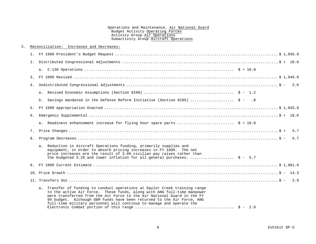| C. |    | Reconciliation: Increases and Decreases:                                                                                                                                                                                                                                                                                                                                            |
|----|----|-------------------------------------------------------------------------------------------------------------------------------------------------------------------------------------------------------------------------------------------------------------------------------------------------------------------------------------------------------------------------------------|
|    |    |                                                                                                                                                                                                                                                                                                                                                                                     |
|    | 2. |                                                                                                                                                                                                                                                                                                                                                                                     |
|    |    |                                                                                                                                                                                                                                                                                                                                                                                     |
|    | 3. |                                                                                                                                                                                                                                                                                                                                                                                     |
|    | 4. |                                                                                                                                                                                                                                                                                                                                                                                     |
|    |    |                                                                                                                                                                                                                                                                                                                                                                                     |
|    |    | b. Savings mandated in the Defense Reform Initiative (Section 8105)  \$ - .8                                                                                                                                                                                                                                                                                                        |
|    |    |                                                                                                                                                                                                                                                                                                                                                                                     |
|    | б. |                                                                                                                                                                                                                                                                                                                                                                                     |
|    |    | a. Readiness enhancement increase for flying hour spare parts  \$ + 18.0                                                                                                                                                                                                                                                                                                            |
|    | 7. | 5.7                                                                                                                                                                                                                                                                                                                                                                                 |
|    | 8. | 5.7                                                                                                                                                                                                                                                                                                                                                                                 |
|    |    | a. Reduction in Aircraft Operations funding, primarily supplies and<br>equipment, in order to absorb pricing increases in FY 1999. The net<br>price increases are the result of 3.6% civilian pay raises rather than<br>the budgeted 3.1% and lower inflation for all general purchases.  \$ - 5.7                                                                                  |
|    |    |                                                                                                                                                                                                                                                                                                                                                                                     |
|    |    |                                                                                                                                                                                                                                                                                                                                                                                     |
|    |    |                                                                                                                                                                                                                                                                                                                                                                                     |
|    |    | a. Transfer of funding to conduct operations at Saylor Creek training range<br>to the active Air Force. These funds, along with ANG full-time manpower<br>were transferred from the Air Force to the Air National Guard in the FY<br>99 budget. Although O&M funds have been returned to the Air Force, ANG<br>full-time military personnel will continue to manage and operate the |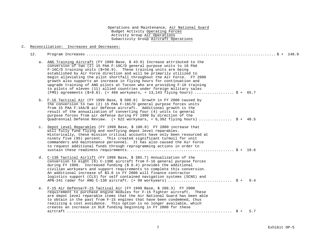#### C. Reconciliation: Increases and Decreases:

12. Program Increases ...................................................................................... \$ + 148.9 a. ANG Training Aircraft (FY 1999 Base, \$ 43.9) Increase attributed to the conversion of two (2) 15 PAA F-16C/D general purpose units to 18 PAA F-16C/D training units (\$+56.9). These training units are being established by Air Force direction and will be primarily utilized to begin alleviating the pilot shortfall throughout the Air Force. FY 2000 growth also supports an increase in flying hours for continuation and upgrade training of ANG pilots at Tucson who are providing F-16 training to pilots of eleven (11) allied countries under foreign military sales (FMS) agreements  $(\frac{5}{8}+8.8)$ .  $(+ 466$  workyears,  $+ 13,143$  flying hours) ..................... \$ + 65.7 b. F-16 Tactical Air (FY 1999 Base, \$ 500.8) Growth in FY 2000 caused by the conversion to two (2) 15 PAA F-16C/D general purpose forces units from 15 PAA F-16A/B air defense aircraft. Additional growth is the result of the annualization of converting four (4) units to general purpose forces from air defense during FY 1999 by direction of the Quadrennial Defense Review. (+ 622 workyears, + 6,392 flying hours) ................  $\dot{S}$  + 48.5 c. Depot Level Reparables (FY 1999 Base, \$ 100.0) FY 2000 increase that will fully fund flying and nonflying depot level reparables. Historically, these mission critical accounts have only been resourced at ninety five (95) percent. This created significant turmoil for unit commanders and maintenance personnel. It has also caused the Air Force to request additional funds through reprogramming actions in order to sustain these readiness requirements. ............................................... \$ + 19.6 d. C-130 Tactical Airlift (FY 1999 Base, \$ 385.7) Annualization of the conversion to eight  $(8)$  C-130E aircraft from F-16 general purpose forces during FY 1999. Increased funding (\$ 6.4) provides the additional civilian workyears and support requirements to complete this conversion. An additional increase of \$3.0 in FY 2000 will finance contractor logistics support (CLS) for self contained navigation systems (SCNS) and APN-241 radar for ANG C-130 aircraft. (+ 99 workyears) ............................. \$ + 9.4 e. F-15 Air Defense/F-15 Tactical Air (FY 1999 Base, \$ 200.3) FY 2000 requirement to purchase engine modules for F-15 fighter aircraft. These are depot level reparable items that the Air National Guard has been able to obtain in the past from F-15 engines that have been condemned, thus realizing a cost avoidance. This option is no longer available, which creates an increase in DLR funding beginning in FY 2000 for these aircraft ........................................................................... \$ + 5.7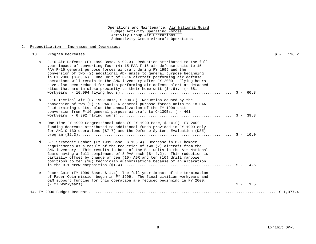#### C. Reconciliation: Increases and Decreases:

| 13. |                                                                                                                                                                                                                                                                                                                                                                                                                                                                                                                                                                                                                    |
|-----|--------------------------------------------------------------------------------------------------------------------------------------------------------------------------------------------------------------------------------------------------------------------------------------------------------------------------------------------------------------------------------------------------------------------------------------------------------------------------------------------------------------------------------------------------------------------------------------------------------------------|
|     | a. F-16 Air Defense (FY 1999 Base, \$ 99.3) Reduction attributed to the full<br>year impact of converting four (4) 15 PAA F-16 air defense units to 15<br>PAA F-16 general purpose forces aircraft during FY 1999 and the<br>conversion of two (2) additional ADF units to general purpose beginning<br>in FY 2000 (\$-60.6). One unit of F-16 aircraft performing air defense<br>operations will remain in the ANG inventory after FY 2000. Flying hours<br>have also been reduced for units performing air defense alert at detached<br>sites that are in close proximity to their home unit $(5-.6)$ . $(-681)$ |
|     | b. F-16 Tactical Air (FY 1999 Base, \$ 500.8) Reduction caused by the<br>conversion of two (2) 15 PAA F-16 general purpose forces units to 18 PAA<br>F-16 training units, plus the annualization of the FY 1999 unit<br>conversion from F-16 general purpose aircraft to C-130Es. ( - 461                                                                                                                                                                                                                                                                                                                          |
|     | c. One-Time FY 1999 Congressional Adds (\$ FY 1999 Base, \$ 10.0) FY 2000<br>funding decrease attributed to additional funds provided in FY 1999 only<br>for ANG C-130 operations (\$7.7) and the Defense Systems Evaluation (DSE)                                                                                                                                                                                                                                                                                                                                                                                 |
|     | d. B-1 Strategic Bomber (FY 1999 Base, \$ 133.4) Decrease in B-1 bomber<br>requirements as a result of the reduction of two (2) aircraft from the<br>ANG inventory. This results in both of the B-1 units in the Air National<br>Guard having a full complement of 8 PAA each $(\xi - 4.2)$ . This reduction is<br>partially offset by change of ten (10) AGR and ten (10) drill manpower<br>positions to ten (10) technician authorizations because of an alteration                                                                                                                                              |
|     | e. Pacer Coin (FY 1999 Base, \$ 1.4) The full year impact of the termination<br>of Pacer Coin mission begun in FY 1999. The final civilian workyears and<br>O&M support funding for this operation are reduced beginning in FY 2000.                                                                                                                                                                                                                                                                                                                                                                               |
|     |                                                                                                                                                                                                                                                                                                                                                                                                                                                                                                                                                                                                                    |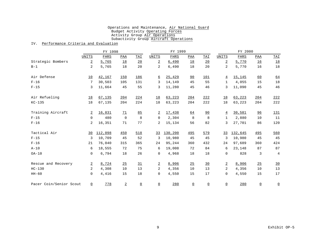#### IV. Performance Criteria and Evaluation

|                         |                | FY 1998     |                |                 | FY 1999          |             |                 | FY 2000         |                 |                |                 |                |
|-------------------------|----------------|-------------|----------------|-----------------|------------------|-------------|-----------------|-----------------|-----------------|----------------|-----------------|----------------|
|                         | <b>UNITS</b>   | <b>FHRS</b> | PAA            | TAI             | <b>UNITS</b>     | <b>FHRS</b> | PAA             | TAI             | <b>UNITS</b>    | <b>FHRS</b>    | <b>PAA</b>      | TAI            |
| Strategic Bombers       | $\overline{a}$ | 5,765       | 18             | 20              | $\overline{2}$   | 6,490       | 18              | 20              | $\overline{2}$  | 5,770          | 16              | 18             |
| $B-1$                   | $\overline{a}$ | 5,765       | 18             | 20              | 2                | 6,490       | 18              | 20              | $\overline{a}$  | 5,770          | 16              | 18             |
| Air Defense             | 10             | 42,167      | 150            | 186             | $6 \overline{6}$ | 25,429      | 90              | 101             | $\overline{4}$  | 15,145         | 60              | 64             |
| $F-16$                  | 7              | 30,503      | 105            | 131             | 3                | 14,149      | 45              | 55              | $\mathbf{1}$    | 4,055          | 15              | $18\,$         |
| $F-15$                  | 3              | 11,664      | 45             | 55              | 3                | 11,280      | 45              | 46              | 3               | 11,090         | 45              | 46             |
| Air Refueling           | 18             | 67,135      | 204            | 224             | <u>18</u>        | 63, 223     | 204             | 222             | <u>18</u>       | 63, 223        | 204             | 222            |
| $KC-135$                | 18             | 67,135      | 204            | 224             | 18               | 63,223      | 204             | 222             | 18              | 63,223         | 204             | 222            |
| Training Aircraft       | $\overline{2}$ | 16,831      | 71             | 85              | $\overline{2}$   | 17,438      | <u>64</u>       | 90              | $\overline{4}$  | 30,581         | 96              | 131            |
| $F-15$                  | $\mathsf{O}$   | 480         | $\mathbf 0$    | 8               | 0                | 2,304       | 8               | 8               | $\mathbf{1}$    | 2,880          | 10              | 11             |
| $F - 16$                | $\overline{a}$ | 16,351      | 71             | 77              | 2                | 15,134      | 56              | 82              | 3               | 27,701         | 86              | 120            |
| Tactical Air            | 30             | 112,098     | 450            | 518             | 33               | 130,200     | 495             | 579             | 33              | <u>132,645</u> | 495             | 560            |
| $F-15$                  | 3              | 10,709      | 45             | 52              | 3                | 10,980      | 45              | 45              | 3               | 10,980         | 45              | 45             |
| $F-16$                  | 21             | 76,040      | 315            | 365             | 24               | 95,244      | 360             | 432             | 24              | 97,689         | 360             | 424            |
| $A-10$                  | 6              | 18,555      | 72             | 75              | 6                | 19,008      | 72              | 84              | 6               | 23,148         | 87              | 87             |
| $OA-10$                 | $\mathbf 0$    | 6,794       | 18             | 26              | $\mathbf 0$      | 4,968       | 18              | 18              | $\mathbf 0$     | 828            | 3               | $\overline{4}$ |
| Rescue and Recovery     | $\overline{2}$ | 8,724       | 25             | 31              | $\overline{2}$   | 8,906       | 25              | 30              | $\overline{2}$  | 8,906          | 25              | 30             |
| $HC-130$                | $\overline{a}$ | 4,308       | 10             | 13              | 2                | 4,356       | 10              | 13              | $\overline{2}$  | 4,356          | 10              | $13$           |
| $HH-60$                 | 0              | 4,416       | 15             | 18              | 0                | 4,550       | 15              | 17              | $\mathbf 0$     | 4,550          | 15              | 17             |
| Pacer Coin/Senior Scout | $\Omega$       | 778         | $\overline{a}$ | $\underline{0}$ | $\underline{0}$  | 280         | $\underline{0}$ | $\underline{0}$ | $\underline{0}$ | 280            | $\underline{0}$ | $\overline{0}$ |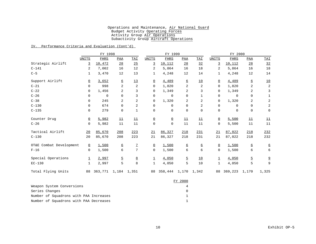## IV. Performance Criteria and Evaluation (Cont'd)

|                         |                | FY 1998                   |                  |                |                 | FY 1999                |                  |                | FY 2000        |             |                  |                           |
|-------------------------|----------------|---------------------------|------------------|----------------|-----------------|------------------------|------------------|----------------|----------------|-------------|------------------|---------------------------|
|                         | UNITS          | FHRS                      | PAA              | TAI            | UNITS           | FHRS                   | PAA              | TAI            | UNITS          | FHRS        | PAA              | <b>TAI</b>                |
| Strategic Airlift       | 3              | 10,472                    | 28               | 25             | 3               | 10,112                 | 28               | 32             | 3              | 10,112      | 28               | 32                        |
| $C - 141$               | 2              | 7,002                     | 16               | 12             | 2               | 5,864                  | 16               | 18             | 2              | 5,864       | 16               | 18                        |
| $C-5$                   | 1              | 3,470                     | 12               | 13             | 1               | 4,248                  | 12               | 14             | $\mathbf{1}$   | 4,248       | 12               | 14                        |
| Support Airlift         | $\Omega$       | 3,652                     | 6                | 13             | $\Omega$        | 4,489                  | 6                | 10             | $\overline{0}$ | 4,489       | $6 \overline{6}$ | $\underline{\textbf{10}}$ |
| $C-21$                  | $\mathbf 0$    | 998                       | 2                | $\overline{2}$ | $\mathsf{O}$    | 1,820                  | 2                | $\overline{2}$ | 0              | 1,820       | 2                | 2                         |
| $C-22$                  | $\mathbf 0$    | 1,456                     | 2                | 3              | $\mathbf 0$     | 1,349                  | 2                | 3              | 0              | 1,349       | $\overline{c}$   | 3                         |
| $C-26$                  | $\mathbf 0$    | $\mathbf 0$               | $\mathbf 0$      | 3              | 0               | $\mathbf 0$            | $\mathbf 0$      | 1              | 0              | $\mathbf 0$ | $\mathbf 0$      | $\mathbf{1}$              |
| $C - 38$                | $\mathbf 0$    | 245                       | 2                | $\overline{2}$ | $\mathbf 0$     | 1,320                  | 2                | $\overline{2}$ | $\mathbf 0$    | 1,320       | 2                | $\overline{a}$            |
| $C - 130$               | $\mathbf 0$    | 674                       | $\mathbf 0$      | $\overline{2}$ | 0               | 0                      | $\mathbf 0$      | $\overline{2}$ | $\mathbf 0$    | $\mathbf 0$ | $\mathbf 0$      | $\overline{a}$            |
| $C - 135$               | $\mathbf 0$    | 279                       | $\mathbf 0$      | $\mathbf{1}$   | $\mathbf 0$     | $\mathbf 0$            | $\mathbf 0$      | $\mathbf 0$    | $\mathbf 0$    | $\mathbf 0$ | $\mathsf 0$      | $\mathbf 0$               |
| Counter Drug            | $\overline{0}$ | 5,982                     | 11               | 11             | $\Omega$        | $\overline{0}$         | 11               | 11             | $\Omega$       | 5,500       | 11               | 11                        |
| $C-26$                  | $\mathbf 0$    | 5,982                     | 11               | 11             | $\mathsf 0$     | $\mathbf 0$            | 11               | 11             | $\mathbf 0$    | 5,500       | 11               | 11                        |
| Tactical Airlift        | 20             | 85,670                    | 208              | 223            | 21              | 86,327                 | 218              | 231            | 21             | 87,022      | 218              | 232                       |
| $C-130$                 | 20             | 85,670                    | 208              | 223            | 21              | 86,327                 | 218              | 231            | 21             | 87,022      | 218              | 232                       |
| OT&E Combat Development | $\Omega$       | 1,500                     | $6 \overline{6}$ | $\overline{1}$ | $\underline{0}$ | 1,500                  | $6 \overline{6}$ | 6              | $\Omega$       | 1,500       | 6                | 6                         |
| $F-16$                  | $\mathbf 0$    | 1,500                     | 6                | 7              | 0               | 1,500                  | 6                | 6              | $\mathbf 0$    | 1,500       | 6                | 6                         |
| Special Operations      | $\perp$        | 2,997                     | $\overline{5}$   | 8              | $\perp$         | 4,050                  | 5                | 10             | $\perp$        | 4,050       | $\overline{5}$   | $\overline{9}$            |
| $EC-130$                | $\mathbf{1}$   | 2,997                     | 5                | 8              | $\mathbf 1$     | 4,050                  | 5                | 10             | $\mathbf{1}$   | 4,050       | 5                | 9                         |
| Total Flying Units      |                | 88 363, 771 1, 184 1, 351 |                  |                |                 | 88 358,444 1,170 1,342 |                  |                |                | 88 369,223  | 1,170            | 1,325                     |

|                                        | FY 2000 |
|----------------------------------------|---------|
| Weapon System Conversions              |         |
| Series Changes                         |         |
| Number of Squadrons with PAA Increases |         |
| Number of Squadrons with PAA Decreases |         |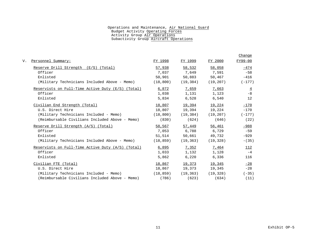|                                                     |           |                         |           | Change         |
|-----------------------------------------------------|-----------|-------------------------|-----------|----------------|
| Personnel Summary:                                  | FY 1998   | FY 1999                 | FY 2000   | FY99-00        |
| Reserve Drill Strength (E/S) (Total)                | 57,938    | 58,532                  | 58,058    | $-474$         |
| Officer                                             | 7,037     | 7,649                   | 7,591     | $-58$          |
| Enlisted                                            | 50,901    | 50,883                  | 50,467    | $-416$         |
| (Military Technicians Included Above - Memo)        |           | $(18,800)$ $(19,384)$   | (19, 207) | $(-177)$       |
| Reservists on Full-Time Active Duty $(E/S)$ (Total) | 6,872     | <u>7,659</u>            | 7,663     | $\overline{4}$ |
| Officer                                             | 1,038     | 1,131                   | 1,123     | $-8$           |
| Enlisted                                            | 5,834     | 6,528                   | 6,540     | 12             |
| Civilian End Strength (Total)                       | 18,807    | 19,394                  | 19,224    | $-170$         |
| U.S. Direct Hire                                    | 18,807    | 19,394                  | 19,224    | $-170$         |
| (Military Technicians Included - Memo)              | (18, 800) | (19, 384)               | (19, 207) | $(-177)$       |
| (Reimbursable Civilians Included Above - Memo)      | (830)     | (624)                   | (646)     | (22)           |
| Reserve Drill Strength (A/S) (Total)                | 58,567    | 57,449                  | 56,461    | $-988$         |
| Officer                                             | 7,053     | 6,788                   | 6,729     | $-59$          |
| Enlisted                                            | 51,514    | 50,661                  | 49,732    | $-929$         |
| (Military Technicians Included Above - Memo)        |           | $(18, 859)$ $(19, 363)$ | (19, 328) | $- (35)$       |
| Reservists on Full-Time Active Duty $(A/S)$ (Total) | 6,895     | 7,352                   | 7,464     | 112            |
| Officer                                             | 1,033     | 1,132                   | 1,128     | $-4$           |
| Enlisted                                            | 5,862     | 6,220                   | 6,336     | 116            |
| Civilian FTE (Total)                                | 18,867    | 19,373                  | 19,345    | $-28$          |
| U.S. Direct Hire                                    | 18,867    | 19,373                  | 19,345    | $-28$          |
| (Military Technicians Included - Memo)              |           | $(18, 859)$ $(19, 363)$ | (19, 328) | $(-35)$        |
| (Reimbursable Civilians Included Above - Memo)      | (786)     | (623)                   | (634)     | (11)           |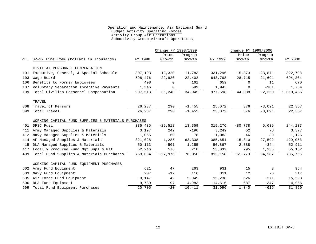|     |                                                     |         | Change FY 1998/1999 |           |         | Change FY 1999/2000 |           |           |  |
|-----|-----------------------------------------------------|---------|---------------------|-----------|---------|---------------------|-----------|-----------|--|
|     |                                                     |         | Price               | Program   |         | Price               | Program   |           |  |
| VI. | OP-32 Line Item (Dollars in Thousands)              | FY 1998 | Growth              | Growth    | FY 1999 | Growth              | Growth    | FY 2000   |  |
|     | CIVILIAN PERSONNEL COMPENSATION                     |         |                     |           |         |                     |           |           |  |
|     | 101 Executive, General, & Special Schedule          | 307,193 | 12,320              | 11,783    | 331,296 | 15,373              | $-23,871$ | 322,798   |  |
| 103 | Wage Board                                          | 598,476 | 22,920              | 22,402    | 643,798 | 28,715              | 21,691    | 694,204   |  |
| 106 | Benefits to Former Employees                        | 498     | 0                   | 161       | 659     | 0                   | 11        | 670       |  |
| 107 | Voluntary Separation Incentive Payments             | 1,346   | $\mathbf 0$         | 599       | 1,945   | $\Omega$            | $-181$    | 1,764     |  |
| 199 | Total Civilian Personnel Compensation               | 907,513 | 35,240              | 34,945    | 977,698 | 44,088              | $-2,350$  | 1,019,436 |  |
|     | TRAVEL                                              |         |                     |           |         |                     |           |           |  |
| 308 | Travel of Persons                                   | 26,237  | 290                 | $-1,455$  | 25,072  | 376                 | $-3,091$  | 22,357    |  |
| 399 | Total Travel                                        | 26,237  | 290                 | $-1, 455$ | 25,072  | 376                 | $-3,091$  | 22,357    |  |
|     | WORKING CAPITAL FUND SUPPLIES & MATERIALS PURCHASES |         |                     |           |         |                     |           |           |  |
| 401 | DFSC Fuel                                           | 335,435 | $-29,518$           | 13,359    | 319,276 | $-80,778$           | 5,639     | 244,137   |  |
| 411 | Army Managed Supplies & Materials                   | 3,197   | 242                 | $-190$    | 3,249   | 52                  | 76        | 3,377     |  |
| 412 | Navy Managed Supplies & Materials                   | 1,065   | $-60$               | 78        | 1,083   | $-46$               | 89        | 1,126     |  |
| 414 | AF Managed Supplies & Materials                     | 321,028 | 1,285               | 63,338    | 385,651 | 15,810              | 27,592    | 429,053   |  |
| 415 | DLA Managed Supplies & Materials                    | 50,113  | $-501$              | 1,255     | 50,867  | 2,388               | $-344$    | 52,911    |  |
| 417 | Locally Procured Fund Mgt Supl & Mat                | 52,246  | 576                 | 210       | 53,032  | 795                 | 1,335     | 55,162    |  |
| 499 | Total Fund Supplies & Materials Purchases           | 763,084 | $-27,976$           | 78,050    | 813,158 | $-61,779$           | 34,387    | 785,766   |  |
|     | WORKING CAPITAL FUND EOUIPMENT PURCHASES            |         |                     |           |         |                     |           |           |  |
| 502 | Army Fund Equipment                                 | 621     | 47                  | 263       | 931     | 15                  | 8         | 954       |  |
| 503 | Navy Fund Equipment                                 | 207     | $-12$               | 116       | 311     | 12                  | $-6$      | 317       |  |
| 505 | Air Force Fund Equipment                            | 10,147  | 42                  | 5,049     | 15,238  | 626                 | $-271$    | 15,593    |  |
| 506 | DLA Fund Equipment                                  | 9,730   | $-97$               | 4,983     | 14,616  | 687                 | $-347$    | 14,956    |  |
| 599 | Total Fund Equipment Purchases                      | 20,705  | $-20$               | 10,411    | 31,096  | 1,340               | $-616$    | 31,820    |  |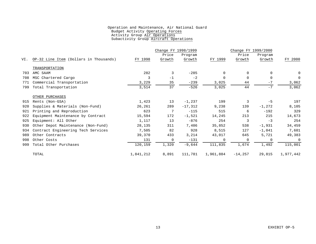|     |                                        |           | Change FY 1998/1999 |           |             | Change FY 1999/2000 |          |                |
|-----|----------------------------------------|-----------|---------------------|-----------|-------------|---------------------|----------|----------------|
|     |                                        |           | Price               | Program   |             | Price               | Program  |                |
| VI. | OP-32 Line Item (Dollars in Thousands) | FY 1998   | Growth              | Growth    | FY 1999     | Growth              | Growth   | FY 2000        |
|     | TRANSPORTATION                         |           |                     |           |             |                     |          |                |
| 703 | AMC SAAM                               | 282       | 3                   | $-285$    | 0           | $\Omega$            |          | 0              |
| 708 | MSC Chartered Cargo                    | 3         | $-1$                | $-2$      | $\mathbf 0$ | $\mathbf 0$         | $\Omega$ | $\mathbf 0$    |
| 771 | Commercial Transportation              | 3,229     | 35                  | $-239$    | 3,025       | 44                  | $-7$     | 3,062          |
| 799 | Total Transportation                   | 3,514     | 37                  | $-526$    | 3,025       | 44                  | $-7$     | 3,062          |
|     | OTHER PURCHASES                        |           |                     |           |             |                     |          |                |
| 915 | Rents (Non-GSA)                        | 1,423     | 13                  | $-1,237$  | 199         | 3                   | $-5$     | 197            |
| 920 | Supplies & Materials (Non-Fund)        | 26,261    | 289                 | $-17,312$ | 9,238       | 139                 | $-1,272$ | 8,105          |
| 921 | Printing and Reproduction              | 623       | 7                   | $-115$    | 515         | 6                   | $-192$   | 329            |
| 922 | Equipment Maintenance by Contract      | 15,594    | 172                 | $-1,521$  | 14,245      | 213                 | 215      | 14,673         |
| 925 | Equipment: All Other                   | 1,117     | 13                  | $-876$    | 254         | 3                   | $-3$     | 254            |
| 930 | Other Depot Maintenance (Non-Fund)     | 28,135    | 311                 | 7,406     | 35,852      | 538                 | $-1,931$ | 34,459         |
| 934 | Contract Engineering Tech Services     | 7,505     | 82                  | 928       | 8,515       | 127                 | $-1,041$ | 7,601          |
| 989 | Other Contracts                        | 39,370    | 433                 | 3,214     | 43,017      | 645                 | 5,721    | 49,383         |
| 998 | Other Costs                            | 131       | 0                   | $-131$    | 0           | $\mathbf 0$         | $\Omega$ | $\overline{0}$ |
| 999 | Total Other Purchases                  | 120,159   | 1,320               | $-9,644$  | 111,835     | 1,674               | 1,492    | 115,001        |
|     | TOTAL                                  | 1,841,212 | 8,891               | 111,781   | 1,961,884   | $-14,257$           | 29,815   | 1,977,442      |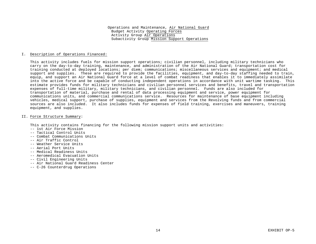#### I. Description of Operations Financed:

This activity includes fuels for mission support operations; civilian personnel, including military technicians who carry on the day-to-day training, maintenance, and administration of the Air National Guard; transportation cost for training conducted at deployed locations; per diem; communications; miscellaneous services and equipment; and medical support and supplies. These are required to provide the facilities, equipment, and day-to-day staffing needed to train, equip, and support an Air National Guard force at a level of combat readiness that enables it to immediately assimilate into the active force and be capable of conducting independent operations in accordance with unit wartime tasking. This estimate provides funds for military technicians and civilian personnel services and benefits, travel and transportation expenses of full-time military, military technicians, and civilian personnel. Funds are also included for transportation of material, purchase and rental of data processing equipment and service, power equipment for communications units, and commercial communications service. Resources for maintenance of base equipment including vehicles, medical support, purchase of supplies, equipment and services from the Revolving funds and from commercial sources are also included. It also includes funds for expenses of field training, exercises and maneuvers, training equipment, and supplies.

#### II. Force Structure Summary:

This activity contains financing for the following mission support units and activities:

- -- 1st Air Force Mission
- -- Tactical Control Units
- -- Combat Communications Units
- -- Air Traffic Control
- -- Weather Service Units
- -- Aerial Port Units
- -- Medical Readiness Units
- -- Aeromedical Evacuation Units
- -- Civil Engineering Units
- -- Air National Guard Readiness Center
- -- C-26 Counterdrug Operations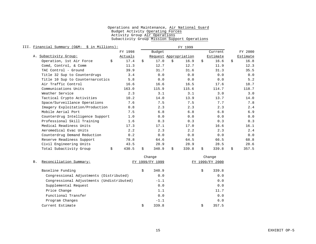| III. | Financial Summary (O&M: \$ in Millions): |         |             | FY 1999               |    |          |             |
|------|------------------------------------------|---------|-------------|-----------------------|----|----------|-------------|
|      |                                          | FY 1998 | Budget      |                       |    | Current  | FY 2000     |
|      | A. Subactivity Group:                    | Actuals |             | Request Appropriation |    | Estimate | Estimate    |
|      | \$<br>Operation, 1st Air Force           | 17.4    | \$<br>17.0  | \$<br>16.9            | \$ | 16.6     | \$<br>16.8  |
|      | Comd, Control, & Comm                    | 11.3    | 12.7        | 12.7                  |    | 11.9     | 12.3        |
|      | TAC Control - Ground                     | 39.9    | 31.7        | 31.6                  |    | 31.3     | 35.5        |
|      | Title 32 Sup to Counterdrugs             | 3.4     | 0.0         | 0.0                   |    | 0.0      | 0.0         |
|      | Title 10 Sup to Counternarcotics         | 5.8     | 0.0         | 0.0                   |    | 0.0      | 5.2         |
|      | Air Traffic Control                      | 16.6    | 16.6        | 16.5                  |    | 17.6     | 18.7        |
|      | Communications Units                     | 163.0   | 115.9       | 115.6                 |    | 114.7    | 118.7       |
|      | Weather Service                          | 2.3     | 3.1         | 3.1                   |    | 3.0      | 3.0         |
|      | Tactical Crypto Activities               | 10.2    | 14.0        | 13.9                  |    | 13.7     | 14.0        |
|      | Space/Surveillance Operations            | 7.6     | 7.5         | 7.5                   |    | 7.7      | 7.8         |
|      | Imagery Exploitation/Production          | 0.8     | 2.3         | 2.3                   |    | 2.3      | 2.4         |
|      | Mobile Aerial Port                       | 7.5     | 6.8         | 6.8                   |    | 6.8      | 6.9         |
|      | Counterdrug Intelligence Support         | 1.0     | 0.0         | 0.0                   |    | 0.0      | 0.0         |
|      | Professional Skill Training              | 1.6     | 0.3         | 0.3                   |    | 0.3      | 0.3         |
|      | Medical Readiness Units                  | 17.3    | 17.1        | 17.0                  |    | 16.6     | 16.1        |
|      | Aeromedical Evac Units                   | 2.2     | 2.3         | 2.2                   |    | 2.3      | 2.4         |
|      | Counterdrug Demand Reduction             | 0.2     | 0.0         | 0.0                   |    | 0.0      | 0.0         |
|      | Reserve Readiness Support                | 78.8    | 64.6        | 64.5                  |    | 66.5     | 68.8        |
|      | Civil Engineering Units                  | 43.5    | 28.9        | 28.9                  |    | 28.5     | 28.6        |
|      | \$<br>Total Subactivity Group            | 430.5   | \$<br>340.9 | \$<br>339.8           | Ŝ. | 339.8    | \$<br>357.5 |

|                                           |    | Change       |    | Change       |
|-------------------------------------------|----|--------------|----|--------------|
| Reconciliation Summary:<br><b>B.</b>      |    | 1999/FY 1999 | FY | 1999/FY 2000 |
| Baseline Funding                          | \$ | 340.9        | \$ | 339.8        |
| Congressional Adjustments (Distributed)   |    | 0.0          |    | 0.0          |
| Congressional Adjustments (Undistributed) |    | $-1.1$       |    | 0.0          |
| Supplemental Request                      |    | 0.0          |    | 0.0          |
| Price Change                              |    | 1.1          |    | 11.7         |
| Functional Transfer                       |    | 0.0          |    | 0.0          |
| Program Changes                           |    | $-1.1$       |    | 6.0          |
| Current Estimate                          | Ŝ  | 339.8        | Ŝ  | 357.5        |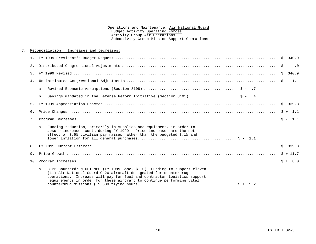#### C. Reconciliation: Increases and Decreases:

|    | $\cdot$ 0                                                                                                                                                                                                                                                                                          |
|----|----------------------------------------------------------------------------------------------------------------------------------------------------------------------------------------------------------------------------------------------------------------------------------------------------|
|    |                                                                                                                                                                                                                                                                                                    |
|    |                                                                                                                                                                                                                                                                                                    |
|    |                                                                                                                                                                                                                                                                                                    |
|    | Savings mandated in the Defense Reform Initiative (Section 8105) $\hat{s}$ - .4<br>b.                                                                                                                                                                                                              |
|    |                                                                                                                                                                                                                                                                                                    |
|    |                                                                                                                                                                                                                                                                                                    |
| 7. |                                                                                                                                                                                                                                                                                                    |
|    | a. Funding reduction, primarily in supplies and equipment, in order to<br>absorb increased costs during FY 1999. Price increases are the net<br>effect of 3.6% civilian pay raises rather than the budgeted 3.1% and                                                                               |
|    |                                                                                                                                                                                                                                                                                                    |
|    |                                                                                                                                                                                                                                                                                                    |
|    |                                                                                                                                                                                                                                                                                                    |
|    | a. C-26 Counterdrug OPTEMPO (FY 1999 Base, \$.0) Funding to support eleven<br>(11) Air National Guard C-26 aircraft designated for counterdrug<br>operations. Increase will pay for fuel and contractor logistics support<br>requirements in order for these aircraft to continue performing vital |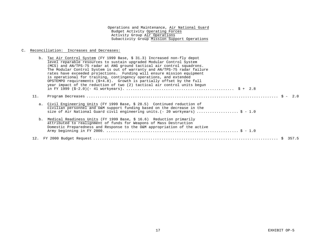#### C. Reconciliation: Increases and Decreases:

| b.  | Tac Air Control System (FY 1999 Base, \$ 31.3) Increased non-fly depot<br>level reparable resources to sustain upgraded Modular Control System<br>(MCS) and AN/TPS-75 radar at ANG ground tactical air control squadrons.<br>The Modular Control System is out of warranty and AN/TPS-75 radar failure<br>rates have exceeded projections. Funding will ensure mission equipment<br>is operational for training, contingency operations, and extended<br>OPSTEMPO requirements $(\frac{2}{7}+4.8)$ . Growth is partially offset by the full<br>year impact of the reduction of two (2) tactical air control units begun |  |  |
|-----|-------------------------------------------------------------------------------------------------------------------------------------------------------------------------------------------------------------------------------------------------------------------------------------------------------------------------------------------------------------------------------------------------------------------------------------------------------------------------------------------------------------------------------------------------------------------------------------------------------------------------|--|--|
| 11. |                                                                                                                                                                                                                                                                                                                                                                                                                                                                                                                                                                                                                         |  |  |
| а.  | Civil Engineering Units (FY 1999 Base, \$ 28.5) Continued reduction of<br>civilian personnel and O&M support funding based on the decrease in the<br>size of Air National Guard civil engineering units. (- 20 workyears)  \$ - 1.0                                                                                                                                                                                                                                                                                                                                                                                     |  |  |
|     | b. Medical Readiness Units (FY 1999 Base, \$ 16.6) Reduction primarily<br>attributed to realignment of funds for Weapons of Mass Destruction<br>Domestic Preparedness and Response to the O&M appropriation of the active                                                                                                                                                                                                                                                                                                                                                                                               |  |  |
|     |                                                                                                                                                                                                                                                                                                                                                                                                                                                                                                                                                                                                                         |  |  |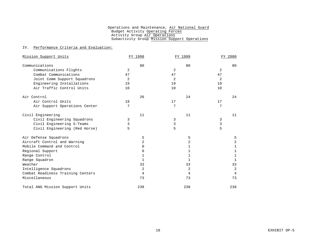#### IV. Performance Criteria and Evaluation:

| Mission Support Units             | FY 1998 | FY 1999 | FY 2000        |  |  |
|-----------------------------------|---------|---------|----------------|--|--|
| Communications                    | 80      | 80      | 80             |  |  |
| Communications Flights            | 2       | 2       | 2              |  |  |
| Combat Communications             | 47      | 47      | 47             |  |  |
| Joint Comm Support Squadrons      | 2       | 2       | 2              |  |  |
| Engineering Installations         | 19      | 19      | 19             |  |  |
| Air Traffic Control Units         | 10      | 10      | 10             |  |  |
| Air Control                       | 26      | 24      | 24             |  |  |
| Air Control Units                 | 19      | 17      | 17             |  |  |
| Air Support Operations Center     | 7       | 7       | 7              |  |  |
| Civil Engineering                 | 11      | 11      | 11             |  |  |
| Civil Engineering Squadrons       | 3       | 3       | 3              |  |  |
| Civil Engineering S-Teams         | 3       | 3       | $\mathfrak{Z}$ |  |  |
| Civil Engineering (Red Horse)     | 5       | 5       | 5              |  |  |
| Air Defense Squadrons             | 5       | 5       | 5              |  |  |
| Aircraft Control and Warning      | 2       | 2       | 2              |  |  |
| Mobile Command and Control        | 0       | 1       | 1              |  |  |
| Regional Support                  | 0       | 1       | 1              |  |  |
| Range Control                     | 1       | 1       | 1              |  |  |
| Range Squadron                    | 1       | 1       | $\mathbf{1}$   |  |  |
| Weather                           | 33      | 33      | 33             |  |  |
| Intelligence Squadrons            | 2       | 2       | $\overline{2}$ |  |  |
| Combat Readiness Training Centers | 4       | 4       | 4              |  |  |
| Miscellaneous                     | 73      | 73      | 73             |  |  |
| Total ANG Mission Support Units   | 238     | 238     | 238            |  |  |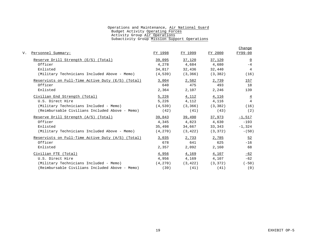|                                                     |          |          |                       | Change         |
|-----------------------------------------------------|----------|----------|-----------------------|----------------|
| Personnel Summary:                                  | FY 1998  | FY 1999  | FY 2000               | FY99-00        |
| Reserve Drill Strength (E/S) (Total)                | 39,095   | 37,120   | 37,120                | $\Omega$       |
| Officer                                             | 4,278    | 4,684    | 4,680                 | $-4$           |
| Enlisted                                            | 34,817   | 32,436   | 32,440                | 4              |
| (Military Technicians Included Above - Memo)        | (4,539)  | (3, 366) | (3, 382)              | (16)           |
| Reservists on Full-Time Active Duty (E/S) (Total)   | 3,004    | 2,582    | 2,739                 | 157            |
| Officer                                             | 640      | 475      | 493                   | 18             |
| Enlisted                                            | 2,364    | 2,107    | 2,246                 | 139            |
| Civilian End Strength (Total)                       | 5,226    | 4,112    | 4,116                 | $\overline{4}$ |
| U.S. Direct Hire                                    | 5,226    | 4,112    | 4,116                 | $\overline{4}$ |
| (Military Technicians Included - Memo)              | (4,539)  | (3, 366) | (3, 382)              | (16)           |
| (Reimbursable Civilians Included Above - Memo)      | (42)     | (41)     | (43)                  | (2)            |
| Reserve Drill Strength (A/S) (Total)                | 39,843   | 39,490   | 37,973                | $-1,517$       |
| Officer                                             | 4,345    | 4,823    | 4,630                 | $-193$         |
| Enlisted                                            | 35,498   | 34,667   | 33,343                | $-1,324$       |
| (Military Technicians Included Above - Memo)        | (4, 270) | (3, 422) | (3, 372)              | $- (50)$       |
| Reservists on Full-Time Active Duty $(A/S)$ (Total) | 3,035    | 2,733    | 2,785                 | 52             |
| Officer                                             | 678      | 641      | 625                   | $-16$          |
| Enlisted                                            | 2,357    | 2,092    | 2,160                 | 68             |
| Civilian FTE (Total)                                | 4,956    | 4,169    | 4,107                 | $-62$          |
| U.S. Direct Hire                                    | 4,956    | 4,169    | 4,107                 | $-62$          |
| (Military Technicians Included - Memo)              | (4, 270) |          | $(3, 422)$ $(3, 372)$ | $(-50)$        |
| (Reimbursable Civilians Included Above - Memo)      | (39)     | (41)     | (41)                  | (0)            |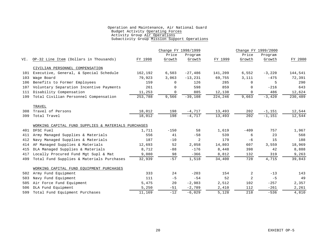|     |                                                     |         | Change FY 1998/1999 |           |         | Change FY 1999/2000 |          |         |
|-----|-----------------------------------------------------|---------|---------------------|-----------|---------|---------------------|----------|---------|
|     |                                                     |         | Price               | Program   |         | Price               | Program  |         |
| VI. | OP-32 Line Item (Dollars in Thousands)              | FY 1998 | Growth              | Growth    | FY 1999 | Growth              | Growth   | FY 2000 |
|     | CIVILIAN PERSONNEL COMPENSATION                     |         |                     |           |         |                     |          |         |
| 101 | Executive, General, & Special Schedule              | 162,192 | 6,503               | $-27,486$ | 141,209 | 6,552               | $-3,220$ | 144,541 |
| 103 | Wage Board                                          | 79,923  | 3,063               | $-13,231$ | 69,755  | 3,111               | $-475$   | 72,391  |
| 106 | Benefits to Former Employees                        | 159     | $\Omega$            | 126       | 285     | $\Omega$            | 5        | 290     |
| 107 | Voluntary Separation Incentive Payments             | 261     | 0                   | 598       | 859     | 0                   | $-216$   | 643     |
| 111 | Disability Compensation                             | 11,253  | 0                   | 885       | 12,138  | 0                   | 486      | 12,624  |
| 199 | Total Civilian Personnel Compensation               | 253,788 | 9,566               | $-39,108$ | 224,246 | 9,663               | $-3,420$ | 230,489 |
|     | TRAVEL                                              |         |                     |           |         |                     |          |         |
|     | 308 Travel of Persons                               | 18,012  | 198                 | $-4,717$  | 13,493  | 202                 | $-1,151$ | 12,544  |
| 399 | Total Travel                                        | 18,012  | 198                 | $-4,717$  | 13,493  | 202                 | $-1,151$ | 12,544  |
|     | WORKING CAPITAL FUND SUPPLIES & MATERIALS PURCHASES |         |                     |           |         |                     |          |         |
| 401 | DFSC Fuel                                           | 1,711   | $-150$              | 58        | 1,619   | $-409$              | 757      | 1,967   |
| 411 | Army Managed Supplies & Materials                   | 556     | 41                  | $-58$     | 539     | 6                   | 23       | 568     |
| 412 | Navy Managed Supplies & Materials                   | 187     | $-10$               | 2         | 179     | -6                  | 15       | 188     |
| 414 | AF Managed Supplies & Materials                     | 12,693  | 52                  | 2,058     | 14,803  | 607                 | 3,559    | 18,969  |
| 415 | DLA Managed Supplies & Materials                    | 8,712   | $-88$               | $-176$    | 8,448   | 398                 | 42       | 8,888   |
| 417 | Locally Procured Fund Mgt Supl & Mat                | 9,080   | 98                  | $-366$    | 8,812   | 132                 | 319      | 9,263   |
| 499 | Total Fund Supplies & Materials Purchases           | 32,939  | $-57$               | 1,518     | 34,400  | 728                 | 4,715    | 39,843  |
|     | WORKING CAPITAL FUND EOUIPMENT PURCHASES            |         |                     |           |         |                     |          |         |
| 502 | Army Fund Equipment                                 | 333     | 24                  | $-203$    | 154     | 2                   | $-13$    | 143     |
| 503 | Navy Fund Equipment                                 | 111     | $-5$                | $-54$     | 52      | 2                   | $-5$     | 49      |
| 505 | Air Force Fund Equipment                            | 5,475   | 20                  | $-2,983$  | 2,512   | 102                 | $-257$   | 2,357   |
| 506 | DLA Fund Equipment                                  | 5,250   | $-51$               | $-2,789$  | 2,410   | 112                 | $-261$   | 2,261   |
| 599 | Total Fund Equipment Purchases                      | 11,169  | $-12$               | $-6,029$  | 5,128   | 218                 | $-536$   | 4,810   |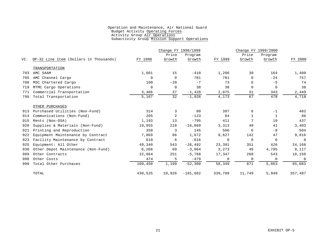|     |                                        |             | Change FY 1998/1999 |            |             | Change FY 1999/2000 |          |              |
|-----|----------------------------------------|-------------|---------------------|------------|-------------|---------------------|----------|--------------|
|     |                                        |             | Price               | Program    |             | Price               | Program  |              |
| VI. | OP-32 Line Item (Dollars in Thousands) | FY 1998     | Growth              | Growth     | FY 1999     | Growth              | Growth   | FY 2000      |
|     | TRANSPORTATION                         |             |                     |            |             |                     |          |              |
| 703 | AMC SAAM                               | 1,601       | 15                  | $-410$     | 1,206       | 30                  | 164      | 1,400        |
| 705 | AMC Channel Cargo                      | $\mathbf 0$ | $\overline{0}$      | 781        | 781         | $\Omega$            | $-24$    | 757          |
| 708 | MSC Chartered Cargo                    | 100         | $-20$               | $-7$       | 73          | 6                   | $-5$     | 74           |
| 719 | MTMC Cargo Operations                  | $\mathbf 0$ | 0                   | 38         | 38          | 0                   | $\Omega$ | 38           |
| 771 | Commercial Transportation              | 3,466       | 37                  | $-1,428$   | 2,075       | 31                  | 343      | 2,449        |
| 799 | Total Transportation                   | 5,167       | 32                  | $-1,026$   | 4,173       | 67                  | 478      | 4,718        |
|     | OTHER PURCHASES                        |             |                     |            |             |                     |          |              |
| 913 | Purchased Utilities (Non-Fund)         | 314         | 3                   | 80         | 397         | 6                   | $-1$     | 402          |
| 914 | Communications (Non-Fund)              | 205         | 2                   | $-123$     | 84          | $\mathbf{1}$        | 1        | 86           |
| 915 | Rents (Non-GSA)                        | 1,193       | 13                  | $-795$     | 411         | 7                   | 19       | 437          |
| 920 | Supplies & Materials (Non-Fund)        | 19,955      | 218                 | $-16,860$  | 3,313       | 49                  | 41       | 3,403        |
| 921 | Printing and Reproduction              | 358         | 3                   | 145        | 506         | 6                   | $-8$     | 504          |
| 922 | Equipment Maintenance by Contract      | 7,869       | 86                  | 1,672      | 9,627       | 142                 | 47       | 9,816        |
| 923 | Facility Maintenance by Contract       | 610         | 6                   | $-616$     | 0           | 0                   | $\Omega$ | $\mathbf 0$  |
| 925 | Equipment: All Other                   | 49,340      | 543                 | $-26, 492$ | 23,391      | 351                 | 426      | 24,168       |
| 930 | Other Depot Maintenance (Non-Fund)     | 6,268       | 69                  | $-3,064$   | 3,273       | 49                  | 4,795    | 8,117        |
| 989 | Other Contracts                        | 22,864      | 251                 | $-5,768$   | 17,347      | 260                 | 543      | 18,150       |
| 998 | Other Costs                            | 474         | 5                   | $-479$     | $\mathbf 0$ | $\mathbf 0$         | $\Omega$ | $\mathsf{O}$ |
| 999 | Total Other Purchases                  | 109,450     | 1,199               | $-52,300$  | 58,349      | 871                 | 5,863    | 65,083       |
|     | TOTAL                                  | 430,525     | 10,926              | $-101,662$ | 339,789     | 11,749              | 5,949    | 357,487      |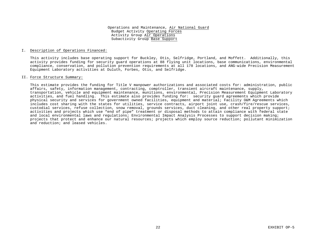#### I. Description of Operations Financed:

This activity includes base operating support for Buckley, Otis, Selfridge, Portland, and Moffett. Additionally, this activity provides funding for security guard operations at 88 flying unit locations, base communications, environmental compliance, conservation, and pollution prevention requirements at all 178 locations, and ANG-wide Precision Measurement Equipment Laboratory activities at Duluth, Forbes, Otis, and Selfridge.

#### II. Force Structure Summary:

This estimate provides the funding for Title V manpower authorizations and associated costs for: administration, public affairs, safety, information management, contracting, comptroller, transient aircraft maintenance, supply, transportation, vehicle and equipment maintenance, munitions, environmental, Precision Measurement Equipment Laboratory activities, and fuel handling. This estimate also provides funding for: security guard agreements which provide physical security and services for government owned facilities, equipment and material; Facility O&M Agreements which includes cost sharing with the states for utilities, service contracts, airport joint use, crash/fire/rescue services, custodial services, refuse collection, snow removal, grounds services, duct cleaning, and other real property support; activities and projects which use "end of pipe" treatment or disposal methods to attain compliance with federal state and local environmental laws and regulations; Environmental Impact Analysis Processes to support decision making; projects that protect and enhance our natural resources; projects which employ source reduction; pollutant minimization and reduction; and leased vehicles.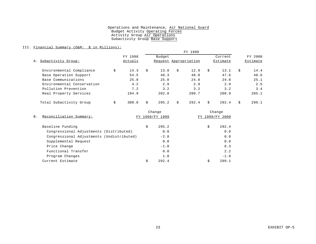### III. Financial Summary (O&M: \$ in Millions):

|                            |    |         |    |                       |    | FY 1999 |          |         |          |         |
|----------------------------|----|---------|----|-----------------------|----|---------|----------|---------|----------|---------|
|                            |    | FY 1998 |    | Budget                |    |         |          | Current |          | FY 2000 |
| Subactivity Group:<br>Α.   |    | Actuals |    | Request Appropriation |    |         | Estimate |         | Estimate |         |
| Environmental Compliance   | \$ | 14.3    | \$ | 13.0                  | Ŝ. | 12.9    | \$       | 13.1    | Ŝ.       | 14.4    |
| Base Operation Support     |    | 54.5    |    | 48.3                  |    | 48.0    |          | 47.6    |          | 48.6    |
| Base Communications        |    | 25.8    |    | 25.0                  |    | 24.8    |          | 24.8    |          | 25.1    |
| Environmental Conservation |    | 4.2     |    | 2.9                   |    | 2.9     |          | 2.9     |          | 2.5     |
| Pollution Prevention       |    | 7.2     |    | 3.2                   |    | 3.2     |          | 3.2     |          | 3.4     |
| Real Property Services     |    | 194.9   |    | 202.8                 |    | 200.7   |          | 200.9   |          | 205.1   |
| Total Subactivity Group    | \$ | 300.8   | Ŝ. | 295.2                 | Ŝ. | 292.4   | Ŝ.       | 292.4   | Ś.       | 299.1   |

|                                           |    | Change          |                 | Change |
|-------------------------------------------|----|-----------------|-----------------|--------|
| Reconciliation Summary:<br><b>B</b> .     |    | FY 1999/FY 1999 | FY 1999/FY 2000 |        |
| Baseline Funding                          | \$ | 295.2           | \$              | 292.4  |
| Congressional Adjustments (Distributed)   |    | 0.0             |                 | 0.0    |
| Congressional Adjustments (Undistributed) |    | $-2.8$          |                 | 0.0    |
| Supplemental Request                      |    | 0.0             |                 | 0.0    |
| Price Change                              |    | $-1.0$          |                 | 6.3    |
| Functional Transfer                       |    | 0.0             |                 | 2.2    |
| Program Changes                           |    | 1.0             |                 | $-1.8$ |
| Current Estimate                          | Ś  | 292.4           |                 | 299.1  |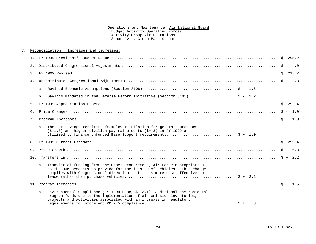| $C_{\rm A}$ |    | Reconciliation: Increases and Decreases:                                                                                                                                                                                         |  |           |
|-------------|----|----------------------------------------------------------------------------------------------------------------------------------------------------------------------------------------------------------------------------------|--|-----------|
|             |    |                                                                                                                                                                                                                                  |  |           |
|             |    |                                                                                                                                                                                                                                  |  | $\cdot$ 0 |
|             | 3. |                                                                                                                                                                                                                                  |  |           |
|             | 4. |                                                                                                                                                                                                                                  |  |           |
|             |    |                                                                                                                                                                                                                                  |  |           |
|             |    | b. Savings mandated in the Defense Reform Initiative (Section 8105)  \$ - 1.2                                                                                                                                                    |  |           |
|             |    |                                                                                                                                                                                                                                  |  |           |
|             | б. |                                                                                                                                                                                                                                  |  |           |
|             | 7. |                                                                                                                                                                                                                                  |  |           |
|             |    | a. The net savings resulting from lower inflation for general purchases<br>$(5-1.3)$ and higher civilian pay raise costs $(5+.3)$ in FY 1999 are<br>utilized to finance unfunded Base Support requirements.  \$ + 1.0            |  |           |
|             |    |                                                                                                                                                                                                                                  |  |           |
|             |    |                                                                                                                                                                                                                                  |  |           |
|             |    |                                                                                                                                                                                                                                  |  |           |
|             |    | a. Transfer of funding from the Other Procurement, Air Force appropriation<br>to the O&M accounts to provide for the leasing of vehicles. This change<br>complies with Congressional direction that it is more cost effective to |  |           |
|             |    |                                                                                                                                                                                                                                  |  |           |
|             |    | a. Environmental Compliance (FY 1999 Base, \$ 13.1) Additional environmental<br>program funds due to the implementation of air emission inventories,<br>projects and activities associated with an increase in regulatory        |  |           |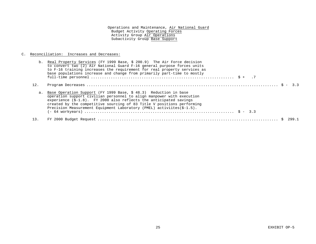## C. Reconciliation: Increases and Decreases:

|     | b. Real Property Services (FY 1999 Base, \$ 200.9) The Air Force decision<br>to convert two (2) Air National Guard F-16 general purpose forces units<br>to F-16 training increases the requirement for real property services as<br>base populations increase and change from primarily part-time to mostly                                                              |
|-----|--------------------------------------------------------------------------------------------------------------------------------------------------------------------------------------------------------------------------------------------------------------------------------------------------------------------------------------------------------------------------|
| 12. |                                                                                                                                                                                                                                                                                                                                                                          |
|     | a. Base Operation Support (FY 1999 Base, \$ 48.3) Reduction in base<br>operation support civilian personnel to align manpower with execution<br>experience $(S-1.8)$ . FY 2000 also reflects the anticipated savings<br>created by the competitive sourcing of 83 Title V positions performing<br>Precision Measurement Equipment Laboratory (PMEL) activiites (\$-1.5). |
| 13. |                                                                                                                                                                                                                                                                                                                                                                          |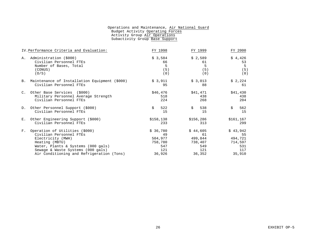| IV. Performance Criteria and Evaluation:                                                                                                                                                                                                   | FY 1998                                                      | FY 1999                                                      | FY 2000                                                      |
|--------------------------------------------------------------------------------------------------------------------------------------------------------------------------------------------------------------------------------------------|--------------------------------------------------------------|--------------------------------------------------------------|--------------------------------------------------------------|
| Administration (\$000)<br>Α.<br>Civilian Personnel FTEs<br>Number of Bases, Total<br>(CONUS)<br>(0/S)                                                                                                                                      | \$3,584<br>66<br>5<br>(5)<br>(0)                             | \$2,589<br>61<br>5<br>(5)<br>(0)                             | \$4,426<br>53<br>5<br>(5)<br>(0)                             |
| B. Maintenance of Installation Equipment (\$000)<br>Civilian Personnel FTEs                                                                                                                                                                | \$3,911<br>95                                                | \$3,013<br>88                                                | \$2,224<br>61                                                |
| C. Other Base Services (\$000)<br>Military Personnel Average Strength<br>Civilian Personnel FTEs                                                                                                                                           | \$46,476<br>518<br>224                                       | \$41,471<br>438<br>268                                       | \$41,430<br>438<br>204                                       |
| D. Other Personnel Support (\$000)<br>Civilian Personnel FTEs                                                                                                                                                                              | \$<br>522<br>15                                              | \$<br>538<br>15                                              | 562<br>\$<br>15                                              |
| E. Other Engineering Support (\$000)<br>Civilian Personnel FTEs                                                                                                                                                                            | \$158,138<br>233                                             | \$156,286<br>313                                             | \$161,167<br>299                                             |
| Operation of Utilities (\$000)<br>$F_{\rm{tot}}$<br>Civilian Personnel FTEs<br>Electricity (MWH)<br>Heating (MBTU)<br>Water, Plants & Systems (000 gals)<br>Sewage & Waste Systems (000 gals)<br>Air Conditioning and Refrigeration (Tons) | \$36,780<br>49<br>504,977<br>758,780<br>547<br>121<br>36,926 | \$44,605<br>61<br>499,844<br>738,407<br>549<br>121<br>36,352 | \$43,942<br>55<br>494,721<br>714,597<br>531<br>117<br>35,910 |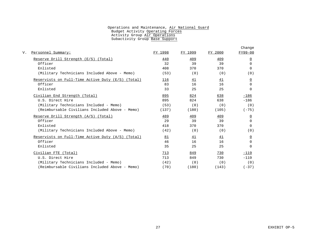| Personnel Summary:                                  | FY 1998 | FY 1999   | FY 2000 | Change<br>FY99-00 |
|-----------------------------------------------------|---------|-----------|---------|-------------------|
|                                                     |         |           |         |                   |
| Reserve Drill Strength (E/S) (Total)                | 440     | 409       | 409     | $\overline{0}$    |
| Officer                                             | 32      | 39        | 39      | $\Omega$          |
| Enlisted                                            | 408     | 370       | 370     | $\Omega$          |
| (Military Technicians Included Above - Memo)        | (53)    | (0)       | (0)     | (0)               |
| Reservists on Full-Time Active Duty (E/S) (Total)   | 116     | <u>41</u> | 41      | $\overline{0}$    |
| Officer                                             | 83      | 16        | 16      | $\Omega$          |
| Enlisted                                            | 33      | 25        | 25      | $\Omega$          |
| Civilian End Strength (Total)                       | 895     | 824       | 638     | $-186$            |
| U.S. Direct Hire                                    | 895     | 824       | 638     | $-186$            |
| (Military Technicians Included - Memo)              | (53)    | (0)       | (0)     | (0)               |
| (Reimbursable Civilians Included Above - Memo)      | (137)   | (180)     | (105)   | $(-75)$           |
| Reserve Drill Strength (A/S) (Total)                | 489     | 409       | 409     | <u>0</u>          |
| Officer                                             | 29      | 39        | 39      | $\Omega$          |
| Enlisted                                            | 418     | 370       | 370     | 0                 |
| (Military Technicians Included Above - Memo)        | (42)    | (0)       | (0)     | (0)               |
| Reservists on Full-Time Active Duty $(A/S)$ (Total) | 81      | 41        | 41      | <u>0</u>          |
| Officer                                             | 46      | 16        | 16      | $\Omega$          |
| Enlisted                                            | 35      | 25        | 25      | 0                 |
| Civilian FTE (Total)                                | 713     | 849       | 730     | $-119$            |
| U.S. Direct Hire                                    | 713     | 849       | 730     | $-119$            |
| (Military Technicians Included - Memo)              | (42)    | (0)       | (0)     | (0)               |
| (Reimbursable Civilians Included Above - Memo)      | (70)    | (180)     | (143)   | $(-37)$           |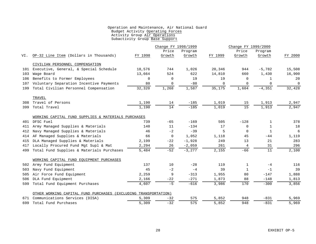|     |                                                     |                            | Change FY 1998/1999 |          |         | Change FY 1999/2000 |              |             |
|-----|-----------------------------------------------------|----------------------------|---------------------|----------|---------|---------------------|--------------|-------------|
|     |                                                     |                            | Price               | Program  |         | Price               | Program      |             |
| VI. | OP-32 Line Item (Dollars in Thousands)              | FY 1998                    | Growth              | Growth   | FY 1999 | Growth              | Growth       | FY 2000     |
|     | CIVILIAN PERSONNEL COMPENSATION                     |                            |                     |          |         |                     |              |             |
| 101 | Executive, General, & Special Schedule              | 18,576                     | 744                 | 1,026    | 20,346  | 944                 | $-5,782$     | 15,508      |
| 103 | Wage Board                                          | 13,664                     | 524                 | 622      | 14,810  | 660                 | 1,430        | 16,900      |
| 106 | Benefits to Former Employees                        | $\mathbf 0$                | 0                   | 19       | 19      | 0                   | $\mathbf{1}$ | 20          |
| 107 | Voluntary Separation Incentive Payments             | 80                         | $\mathbf 0$         | $-80$    | 0       | $\mathbf 0$         | 0            | $\mathbf 0$ |
| 199 | Total Civilian Personnel Compensation               | 32,320                     | 1,268               | 1,587    | 35,175  | 1,604               | $-4,351$     | 32,428      |
|     | TRAVEL                                              |                            |                     |          |         |                     |              |             |
| 308 | Travel of Persons                                   | 1,190                      | 14                  | $-185$   | 1,019   | 15                  | 1,913        | 2,947       |
| 399 | Total Travel                                        | 1,190                      | 14                  | $-185$   | 1,019   | 15                  | 1,913        | 2,947       |
|     | WORKING CAPITAL FUND SUPPLIES & MATERIALS PURCHASES |                            |                     |          |         |                     |              |             |
|     | 401 DFSC Fuel                                       | 739                        | $-65$               | $-169$   | 505     | $-128$              | $\mathbf{1}$ | 378         |
| 411 | Army Managed Supplies & Materials                   | 140                        | 11                  | $-134$   | 17      | 0                   | $\mathbf{1}$ | 18          |
| 412 | Navy Managed Supplies & Materials                   | 46                         | $-2$                | $-39$    | 5       | $\Omega$            | $\mathbf{1}$ | 6           |
| 414 | AF Managed Supplies & Materials                     | 66                         | $\mathbf 0$         | 1,052    | 1,118   | 45                  | $-44$        | 1,119       |
| 415 | DLA Managed Supplies & Materials                    | 2,199                      | $-22$               | $-1,928$ | 249     | 13                  | 21           | 283         |
| 417 | Locally Procured Fund Mgt Supl & Mat                | 2,294                      | 26                  | $-2,059$ | 261     | 4                   | 31           | 296         |
| 499 | Total Fund Supplies & Materials Purchases           | 5,484                      | $-52$               | $-3,277$ | 2,155   | $-66$               | 11           | 2,100       |
|     | WORKING CAPITAL FUND EQUIPMENT PURCHASES            |                            |                     |          |         |                     |              |             |
| 502 | Army Fund Equipment                                 | 137                        | 10                  | $-28$    | 119     | $\mathbf{1}$        | $-4$         | 116         |
| 503 | Navy Fund Equipment                                 | 45                         | $-2$                | $-4$     | 39      | 1                   | $-1$         | 39          |
| 505 | Air Force Fund Equipment                            | 2,259                      | 9                   | $-313$   | 1,955   | 80                  | $-147$       | 1,888       |
| 506 | DLA Fund Equipment                                  | 2,166                      | $-22$               | $-271$   | 1,873   | 88                  | $-148$       | 1,813       |
| 599 | Total Fund Equipment Purchases                      | 4,607                      | $-5$                | $-616$   | 3,986   | 170                 | $-300$       | 3,856       |
|     | OTHER WORKING CAPITAL FUND PURCHASES                | (EXCLUDING TRANSPORTATION) |                     |          |         |                     |              |             |
| 671 | Communications Services (DISA)                      | 5,309                      | $-32$               | 575      | 5,852   | 948                 | $-831$       | 5,969       |
| 699 | Total Fund Purchases                                | 5,309                      | $-32$               | 575      | 5,852   | 948                 | $-831$       | 5,969       |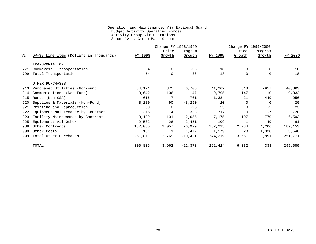|     |                                        |         | Change FY 1998/1999<br>Change FY 1999/2000 |           |         |          |          |         |
|-----|----------------------------------------|---------|--------------------------------------------|-----------|---------|----------|----------|---------|
|     |                                        |         | Price                                      | Program   |         | Price    | Program  |         |
| VI. | OP-32 Line Item (Dollars in Thousands) | FY 1998 | Growth                                     | Growth    | FY 1999 | Growth   | Growth   | FY 2000 |
|     | TRANSPORTATION                         |         |                                            |           |         |          |          |         |
| 771 | Commercial Transportation              | 54      | $\Omega$                                   | $-36$     | 18      | $\Omega$ |          | 18      |
| 799 | Total Transportation                   | 54      | 0                                          | $-36$     | 18      | $\Omega$ |          | 18      |
|     | OTHER PURCHASES                        |         |                                            |           |         |          |          |         |
| 913 | Purchased Utilities (Non-Fund)         | 34,121  | 375                                        | 6,706     | 41,202  | 618      | $-957$   | 40,863  |
| 914 | Communications (Non-Fund)              | 9,642   | 106                                        | 47        | 9,795   | 147      | $-10$    | 9,932   |
| 915 | Rents (Non-GSA)                        | 616     | 7                                          | 761       | 1,384   | 21       | $-449$   | 956     |
| 920 | Supplies & Materials (Non-Fund)        | 8,220   | 90                                         | $-8,290$  | 20      | 0        | $\Omega$ | 20      |
| 921 | Printing and Reproduction              | 50      | 0                                          | $-25$     | 25      | 0        | $-2$     | 23      |
| 922 | Equipment Maintenance by Contract      | 375     | 4                                          | 338       | 717     | 10       | $-7$     | 720     |
| 923 | Facility Maintenance by Contract       | 9,129   | 101                                        | $-2,055$  | 7,175   | 107      | $-779$   | 6,503   |
| 925 | Equipment: All Other                   | 2,532   | 28                                         | $-2,451$  | 109     | 1        | $-49$    | 61      |
| 989 | Other Contracts                        | 187,085 | 2,057                                      | $-6,929$  | 182,213 | 2,734    | 4,206    | 189,153 |
| 998 | Other Costs                            | 101     | 1                                          | 1,477     | 1,579   | 23       | 1,938    | 3,540   |
| 999 | Total Other Purchases                  | 251,871 | 2,769                                      | $-10,421$ | 244,219 | 3,661    | 3,891    | 251,771 |
|     | TOTAL                                  | 300,835 | 3,962                                      | $-12,373$ | 292,424 | 6,332    | 333      | 299,089 |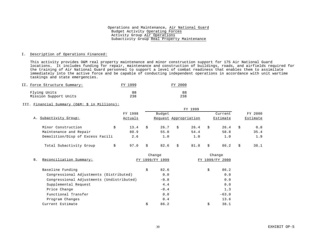#### I. Description of Operations Financed:

This activity provides O&M real property maintenance and minor construction support for 175 Air National Guard locations. It includes funding for repair, maintenance and construction of buildings, roads, and airfields required for the training of Air National Guard personnel to support a level of combat readiness that enables them to assimilate immediately into the active force and be capable of conducting independent operations in accordance with unit wartime taskings and state emergencies.

| II. Force Structure Summary: | FY 1999 | FY 2000 |
|------------------------------|---------|---------|
| Flying Units                 | 88      | 88      |
| Mission Support Units        | 238     | 238     |

#### III. Financial Summary (O&M: \$ in Millions):

|                                  |         |   |                       | FY 1999 |          |          |
|----------------------------------|---------|---|-----------------------|---------|----------|----------|
|                                  | FY 1998 |   | Budget                |         | Current  | FY 2000  |
| A. Subactivity Group:            | Actuals |   | Request Appropriation |         | Estimate | Estimate |
| Minor Construction<br>\$         | 13.4    | S | 26.7                  | 26.4    | 26.4     | 0.8      |
| Maintenance and Repair           | 80.9    |   | 55.0                  | 54.4    | 58.8     | 35.4     |
| Demolition/Disp of Excess Facili | 2.6     |   | 1.0                   | 1.0     | 1.0      | 1.9      |
| Total Subactivity Group          | 97.0    | S | 82.6                  | 81.8    | 86.2     | 38.1     |

|                                           |    | Change       |    | Change       |
|-------------------------------------------|----|--------------|----|--------------|
| Reconciliation Summary:<br><b>B</b> .     |    | 1999/FY 1999 | FY | 1999/FY 2000 |
| Baseline Funding                          | \$ | 82.6         | \$ | 86.2         |
| Congressional Adjustments (Distributed)   |    | 0.0          |    | 0.0          |
| Congressional Adjustments (Undistributed) |    | $-0.8$       |    | 0.0          |
| Supplemental Request                      |    | 4.4          |    | 0.0          |
| Price Change                              |    | $-0.4$       |    | 1.3          |
| Functional Transfer                       |    | 0.0          |    | $-63.0$      |
| Program Changes                           |    | 0.4          |    | 13.6         |
| Current Estimate                          | Ś  | 86.2         | Ś  | 38.1         |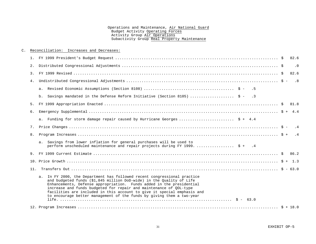#### C. Reconciliation: Increases and Decreases:

|    |                                                                                                                                                                                                                                                                                                                                                                                                                                                    | 82.6                        |
|----|----------------------------------------------------------------------------------------------------------------------------------------------------------------------------------------------------------------------------------------------------------------------------------------------------------------------------------------------------------------------------------------------------------------------------------------------------|-----------------------------|
|    |                                                                                                                                                                                                                                                                                                                                                                                                                                                    | $\overline{\phantom{0}}$ .0 |
|    |                                                                                                                                                                                                                                                                                                                                                                                                                                                    |                             |
|    |                                                                                                                                                                                                                                                                                                                                                                                                                                                    |                             |
|    |                                                                                                                                                                                                                                                                                                                                                                                                                                                    |                             |
|    | b. Savings mandated in the Defense Reform Initiative (Section 8105)  \$ - .3                                                                                                                                                                                                                                                                                                                                                                       |                             |
|    |                                                                                                                                                                                                                                                                                                                                                                                                                                                    |                             |
| б. |                                                                                                                                                                                                                                                                                                                                                                                                                                                    |                             |
|    | a. Funding for storm damage repair caused by Hurricane Georges  \$ + 4.4                                                                                                                                                                                                                                                                                                                                                                           |                             |
|    |                                                                                                                                                                                                                                                                                                                                                                                                                                                    |                             |
|    |                                                                                                                                                                                                                                                                                                                                                                                                                                                    |                             |
|    | a. Savings from lower inflation for general purchases will be used to<br>perform unscheduled maintenance and repair projects during FY 1999 \$ + .4                                                                                                                                                                                                                                                                                                |                             |
|    |                                                                                                                                                                                                                                                                                                                                                                                                                                                    |                             |
|    |                                                                                                                                                                                                                                                                                                                                                                                                                                                    |                             |
|    |                                                                                                                                                                                                                                                                                                                                                                                                                                                    |                             |
|    | a. In FY 2000, the Department has followed recent congressional practice<br>and budgeted funds (\$1,845 million DoD-wide) in the Ouality of Life<br>Enhancements, Defense appropriation. Funds added in the presidential<br>increase and funds budgeted for repair and maintenance of OOL-type<br>facilities are included in this account to give it special emphasis and<br>to encourage better management of the funds by giving them a two-year |                             |
|    |                                                                                                                                                                                                                                                                                                                                                                                                                                                    |                             |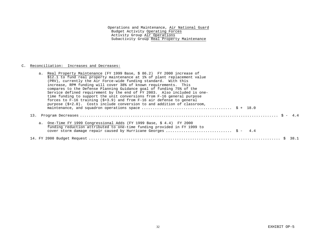## C. Reconciliation: Increases and Decreases:

|  | a. Real Property Maintenance (FY 1999 Base, \$ 86.2) FY 2000 increase of<br>\$12.1 to fund real property maintenance at 1% of plant replacement value<br>(PRV), currently the Air Force-wide funding standard. With this<br>increase, RPM funding will cover 38% of known requirements. This |
|--|----------------------------------------------------------------------------------------------------------------------------------------------------------------------------------------------------------------------------------------------------------------------------------------------|
|  | compares to the Defense Planning Guidance goal of funding 75% of the                                                                                                                                                                                                                         |
|  | Service defined requirement by the end of FY 2003. Also included is one-<br>time funding to support the unit conversions from F-16 general purpose                                                                                                                                           |
|  | forces to F-16 training $(\frac{2}{5}+3.9)$ and from F-16 air defense to general                                                                                                                                                                                                             |
|  | purpose $(\frac{1}{2}, 0)$ . Costs include conversion to and addition of classroom,                                                                                                                                                                                                          |
|  |                                                                                                                                                                                                                                                                                              |
|  |                                                                                                                                                                                                                                                                                              |
|  | a. One-Time FY 1999 Congressional Adds (FY 1999 Base, \$ 4.4) FY 2000<br>funding reduction attributed to one-time funding provided in FY 1999 to                                                                                                                                             |
|  |                                                                                                                                                                                                                                                                                              |
|  |                                                                                                                                                                                                                                                                                              |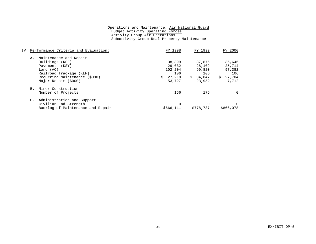| IV. Performance Criteria and Evaluation: |                                   | FY 1998   | FY 1999   |    | FY 2000   |  |
|------------------------------------------|-----------------------------------|-----------|-----------|----|-----------|--|
| А.                                       | Maintenance and Repair            |           |           |    |           |  |
|                                          | Buildings (KSF)                   | 38,899    | 37,876    |    | 36,646    |  |
|                                          | Pavements (KSY)                   | 29,032    | 28,109    |    | 25,714    |  |
|                                          | Land $(AC)$                       | 102,204   | 99,820    |    | 97.382    |  |
|                                          | Railroad Trackage (KLF)           | 106       | 106       |    | 106       |  |
|                                          | Recurring Maintenance (\$000)     | 27,218    | \$34,847  | S. | 27,704    |  |
|                                          | Major Repair (\$000)              | 53,727    | 23,952    |    | 7,712     |  |
|                                          | B. Minor Construction             |           |           |    |           |  |
|                                          | Number of Projects                | 166       | 175       |    |           |  |
|                                          | Administration and Support        |           |           |    |           |  |
|                                          | Civilian End Strength             | 0         |           |    |           |  |
|                                          | Backlog of Maintenance and Repair | \$666,111 | \$778,737 |    | \$866,078 |  |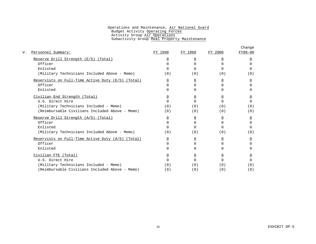|                                                   |                |                |                | Change         |
|---------------------------------------------------|----------------|----------------|----------------|----------------|
| Personnel Summary:                                | FY 1998        | FY 1999        | FY 2000        | FY99-00        |
| Reserve Drill Strength (E/S) (Total)              | $\overline{0}$ | 0              | 0              |                |
| Officer                                           | $\Omega$       | $\Omega$       | <sup>n</sup>   | ∩              |
| Enlisted                                          | <sup>n</sup>   | $\cap$         | <sup>n</sup>   |                |
| (Military Technicians Included Above - Memo)      | (0)            | (0)            | (0)            | (0)            |
| Reservists on Full-Time Active Duty (E/S) (Total) | $\overline{0}$ | $\overline{0}$ | $\overline{0}$ | $\overline{0}$ |
| Officer                                           | $\Omega$       | $\cap$         | $\cap$         | U              |
| Enlisted                                          | $\Omega$       | <sup>0</sup>   | <sup>n</sup>   |                |
| Civilian End Strength (Total)                     | $\overline{0}$ | 0              | 0              |                |
| U.S. Direct Hire                                  | $\Omega$       | $\Omega$       | $\cap$         | <sup>n</sup>   |
| (Military Technicians Included - Memo)            | (0)            | (0)            | (0)            | (0)            |
| (Reimbursable Civilians Included Above - Memo)    | (0)            | (0)            | (0)            | (0)            |
| Reserve Drill Strength (A/S) (Total)              | $\overline{0}$ | 0              | 0              | 0              |
| Officer                                           | $\Omega$       | $\Omega$       | $\Omega$       | <sup>n</sup>   |
| Enlisted                                          | <sup>n</sup>   | $\cap$         | <sup>n</sup>   | <sup>n</sup>   |
| (Military Technicians Included Above - Memo)      | (0)            | (0)            | (0)            | (0)            |
| Reservists on Full-Time Active Duty (A/S) (Total) | $\overline{0}$ | 0              | $\Omega$       | 0              |
| Officer                                           | $\Omega$       | $\Omega$       | $\Omega$       | <sup>n</sup>   |
| Enlisted                                          | <sup>n</sup>   | $\Omega$       | <sup>n</sup>   |                |
| Civilian FTE (Total)                              | $\overline{0}$ | $\overline{0}$ | $\overline{0}$ | <u>0</u>       |
| U.S. Direct Hire                                  | <sup>0</sup>   | $\Omega$       | $\Omega$       |                |
| (Military Technicians Included - Memo)            | (0)            | (0)            | (0)            | (0)            |
| (Reimbursable Civilians Included Above - Memo)    | (0)            | (0)            | (0)            | (0)            |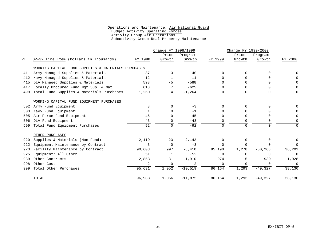|     |                                                     |         |                | Change FY 1998/1999 |             | Change FY 1999/2000 |            |          |  |
|-----|-----------------------------------------------------|---------|----------------|---------------------|-------------|---------------------|------------|----------|--|
|     |                                                     |         | Price          | Program             |             | Price               | Program    |          |  |
| VI. | OP-32 Line Item (Dollars in Thousands)              | FY 1998 | Growth         | Growth              | FY 1999     | Growth              | Growth     | FY 2000  |  |
|     | WORKING CAPITAL FUND SUPPLIES & MATERIALS PURCHASES |         |                |                     |             |                     |            |          |  |
| 411 | Army Managed Supplies & Materials                   | 37      | 3              | $-40$               | $\Omega$    | 0                   |            |          |  |
| 412 | Navy Managed Supplies & Materials                   | 12      | $-1$           | $-11$               | $\cap$      | 0                   |            |          |  |
| 415 | DLA Managed Supplies & Materials                    | 593     | $-5$           | $-588$              | $\Omega$    | $\Omega$            |            | $\Omega$ |  |
| 417 | Locally Procured Fund Mgt Supl & Mat                | 618     | 7              | $-625$              | 0           | 0                   |            | 0        |  |
| 499 | Total Fund Supplies & Materials Purchases           | 1,260   | $\overline{4}$ | $-1, 264$           | $\Omega$    | $\Omega$            |            | $\Omega$ |  |
|     | WORKING CAPITAL FUND EOUIPMENT PURCHASES            |         |                |                     |             |                     |            |          |  |
| 502 | Army Fund Equipment                                 | 3       | $\Omega$       | $-3$                | $\Omega$    | $\Omega$            |            | 0        |  |
| 503 | Navy Fund Equipment                                 | 1       | $\Omega$       | $-1$                | $\Omega$    | 0                   |            | $\Omega$ |  |
| 505 | Air Force Fund Equipment                            | 45      | $\Omega$       | $-45$               | $\Omega$    | $\Omega$            |            | $\Omega$ |  |
| 506 | DLA Fund Equipment                                  | 43      | 0              | $-43$               | 0           | $\Omega$            |            | $\Omega$ |  |
| 599 | Total Fund Equipment Purchases                      | 92      | $\Omega$       | $-92$               | $\mathbf 0$ | $\Omega$            | $\cap$     | $\Omega$ |  |
|     | OTHER PURCHASES                                     |         |                |                     |             |                     |            |          |  |
| 920 | Supplies & Materials (Non-Fund)                     | 2,119   | 23             | $-2,142$            | $\Omega$    | $\Omega$            | $\cap$     | $\Omega$ |  |
| 922 | Equipment Maintenance by Contract                   | 3       | $\Omega$       | $-3$                | $\Omega$    | $\Omega$            | $\Omega$   | $\Omega$ |  |
| 923 | Facility Maintenance by Contract                    | 90,603  | 997            | $-6,410$            | 85,190      | 1,278               | $-50, 266$ | 36,202   |  |
| 925 | Equipment: All Other                                | 51      | 1              | $-52$               | $\Omega$    | $\Omega$            | $\Omega$   | 0        |  |
| 989 | Other Contracts                                     | 2,853   | 31             | $-1,910$            | 974         | 15                  | 939        | 1,928    |  |
| 998 | Other Costs                                         | 2       | $\mathbf 0$    | $-2$                | $\mathbf 0$ | 0                   | $\Omega$   | $\Omega$ |  |
| 999 | Total Other Purchases                               | 95,631  | 1,052          | $-10,519$           | 86,164      | 1,293               | $-49,327$  | 38,130   |  |
|     | TOTAL                                               | 96,983  | 1,056          | $-11,875$           | 86,164      | 1,293               | $-49,327$  | 38,130   |  |
|     |                                                     |         |                |                     |             |                     |            |          |  |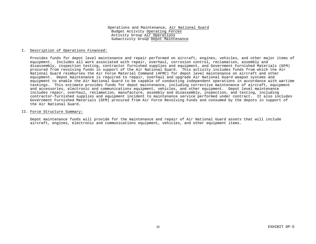#### I. Description of Operations Financed:

Provides funds for depot level maintenance and repair performed on aircraft, engines, vehicles, and other major items of equipment. Includes all work associated with repair, overhaul, corrosion control, reclamation, assembly and disassembly, inspection testing, contractor furnished supplies and equipment, and Government Furnished Materials (GFM) procured from revolving funds in support of the Air National Guard. This activity includes funds from which the Air National Guard reimburses the Air Force Materiel Command (AFMC) for depot level maintenance on aircraft and other equipment. Depot maintenance is required to repair, overhaul and upgrade Air National Guard weapon systems and equipment to enable the Air National Guard to be capable of conducting independent operations in accordance with wartime taskings. This estimate provides funds for depot maintenance, including corrective maintenance of aircraft, equipment and accessories, electronic and communications equipment, vehicles, and other equipment. Depot level maintenance includes repair, overhaul, reclamation, manufacture, assembly and disassembly, inspection, and testing, including contractor-furnished supplies and equipment incident to maintenance service performed under contract. It also includes Government Furnished Materials (GFM) procured from Air Force Revolving Funds and consumed by the depots in support of the Air National Guard.

#### II. Force Structure Summary:

Depot maintenance funds will provide for the maintenance and repair of Air National Guard assets that will include aircraft, engines, electronic and communications equipment, vehicles, and other equipment items.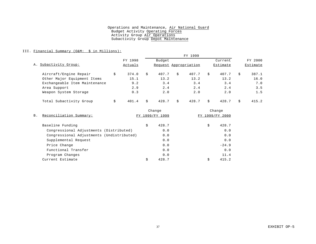#### III. Financial Summary (O&M: \$ in Millions):

|                               |         |         | FY 1999 |                       |    |       |                     |       |         |          |  |
|-------------------------------|---------|---------|---------|-----------------------|----|-------|---------------------|-------|---------|----------|--|
|                               |         | FY 1998 |         | Budget                |    |       | Current<br>Estimate |       | FY 2000 |          |  |
| A. Subactivity Group:         | Actuals |         |         | Request Appropriation |    |       |                     |       |         | Estimate |  |
| Aircraft/Engine Repair        | \$      | 374.0   | \$      | 407.7                 | Ś. | 407.7 | Ŝ.                  | 407.7 | Ŝ       | 387.1    |  |
| Other Major Equipment Items   |         | 15.1    |         | 13.2                  |    | 13.2  |                     | 13.2  |         | 16.0     |  |
| Exchangeable Item Maintenance |         | 9.2     |         | 3.4                   |    | 3.4   |                     | 3.4   |         | 7.0      |  |
| Area Support                  |         | 2.9     |         | 2.4                   |    | 2.4   |                     | 2.4   |         | 3.5      |  |
| Weapon System Storage         |         | 0.3     |         | 2.0                   |    | 2.0   |                     | 2.0   |         | 1.5      |  |
| Total Subactivity Group       | \$      | 401.4   | \$      | 428.7                 | Ś. | 428.7 | Ŝ                   | 428.7 | Ŝ.      | 415.2    |  |

|                                           |                 | Change |                 | Change  |  |
|-------------------------------------------|-----------------|--------|-----------------|---------|--|
| Reconciliation Summary:<br><b>B</b> .     | FY 1999/FY 1999 |        | FY 1999/FY 2000 |         |  |
| Baseline Funding                          | \$              | 428.7  | \$              | 428.7   |  |
| Congressional Adjustments (Distributed)   |                 | 0.0    |                 | 0.0     |  |
| Congressional Adjustments (Undistributed) |                 | 0.0    |                 | 0.0     |  |
| Supplemental Request                      |                 | 0.0    |                 | 0.0     |  |
| Price Change                              |                 | 0.0    |                 | $-24.9$ |  |
| Functional Transfer                       |                 | 0.0    |                 | 0.0     |  |
| Program Changes                           |                 | 0.0    |                 | 11.4    |  |
| Current Estimate                          | Ś               | 428.7  | Ŝ               | 415.2   |  |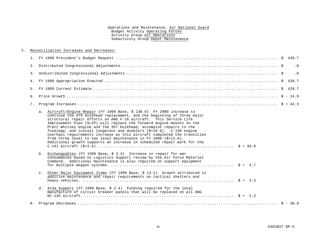#### C. Reconciliation Increases and Decreases:

|                                                                                                                                                                                                                                                                                                                                                                                                                                                                                                                                                                                                                                                                          |  | $\overline{\phantom{0}}$ .0 |
|--------------------------------------------------------------------------------------------------------------------------------------------------------------------------------------------------------------------------------------------------------------------------------------------------------------------------------------------------------------------------------------------------------------------------------------------------------------------------------------------------------------------------------------------------------------------------------------------------------------------------------------------------------------------------|--|-----------------------------|
|                                                                                                                                                                                                                                                                                                                                                                                                                                                                                                                                                                                                                                                                          |  | $\cdot$ 0                   |
|                                                                                                                                                                                                                                                                                                                                                                                                                                                                                                                                                                                                                                                                          |  |                             |
|                                                                                                                                                                                                                                                                                                                                                                                                                                                                                                                                                                                                                                                                          |  |                             |
|                                                                                                                                                                                                                                                                                                                                                                                                                                                                                                                                                                                                                                                                          |  |                             |
|                                                                                                                                                                                                                                                                                                                                                                                                                                                                                                                                                                                                                                                                          |  |                             |
| a. Aircraft/Engine Repair (FY 1999 Base, \$ 130.8) FY 2000 increase to<br>continue the 479 bulkhead replacement, and the beginning of three major<br>structural repair efforts on ANG F-16 aircraft. This Service Life<br>Improvement Plan (SLIP) will replace the forward engine mounts on the<br>Pratt Whitney engine and the 357 bulkhead, accompish repairs to the<br>fuselage, and install longerons and doublers (\$+16.9). C-130 engine<br>overhaul requirements increase as this aircraft completed the transition<br>from three level to two level maintenance in FY 1999 (\$+13.6).<br>Additional growth supports an increase in scheduled repair work for the |  |                             |
| b. Exchangeables (FY 1999 Base, \$ 3.4) Increase in repair for war<br>consumables based on Logistics Support review by the Air Force Materiel<br>Command. Additional maintenance is also required on support equipment                                                                                                                                                                                                                                                                                                                                                                                                                                                   |  |                             |
| c. Other Major Equipment Items (FY 1999 Base, \$ 13.2) Growth attributed to<br>additive maintenance and repair requirements on tactical shelters and                                                                                                                                                                                                                                                                                                                                                                                                                                                                                                                     |  |                             |
| d. Area Support (FY 1999 Base, \$ 2.4) Funding required for the local<br>manufacture of circuit breaker panels that will be replaced on all ANG                                                                                                                                                                                                                                                                                                                                                                                                                                                                                                                          |  |                             |
|                                                                                                                                                                                                                                                                                                                                                                                                                                                                                                                                                                                                                                                                          |  |                             |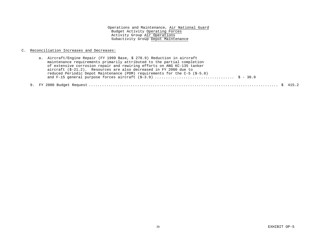#### C. Reconciliation Increases and Decreases:

| a. Aircraft/Engine Repair (FY 1999 Base, \$ 278.9) Reduction in aircraft     |
|------------------------------------------------------------------------------|
| maintenance requirements primarily attributed to the partial completion      |
| of extensive corrosion repair and rewiring efforts on ANG KC-135 tanker      |
| aircraft $(S-21.2)$ . Resources are also decreased in FY 2000 due to         |
| reduced Periodic Depot Maintenance (PDM) requirements for the $C-5$ (\$-5.8) |
|                                                                              |
|                                                                              |

#### 9. FY 2000 Budget Request ...................................................................................... \$ 415.2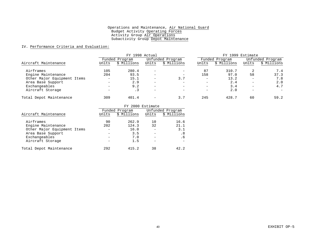#### IV. Performance Criteria and Evaluation:

|                             |                   |                | FY 1998 Actual           |                          |                          |                | FY 1999 Estimate         |                  |  |
|-----------------------------|-------------------|----------------|--------------------------|--------------------------|--------------------------|----------------|--------------------------|------------------|--|
|                             |                   | Funded Program |                          | Unfunded Program         |                          | Funded Program |                          | Unfunded Program |  |
| Aircraft Maintenance        | Units             | \$ Millions    | Units                    | \$ Millions              | Units                    | \$ Millions    | Units                    | \$ Millions      |  |
| Airframes                   | 105               | 280.4          |                          | $\overline{\phantom{m}}$ | 87                       | 310.7          | 2                        | 7.4              |  |
| Engine Maintenance          | 204               | 93.5           | -                        | $\overline{\phantom{m}}$ | 158                      | 97.0           | 58                       | 37.3             |  |
| Other Major Equipment Items | $\qquad \qquad =$ | 15.1           | $\qquad \qquad -$        | 3.7                      | $\qquad \qquad -$        | 13.2           | $\overline{\phantom{0}}$ | 7.8              |  |
| Area Base Support           | -                 | 2.9            | -                        | -                        | -                        | 2.4            | -                        | 2.0              |  |
| Exchangeables               | -                 | 9.2            |                          |                          | $\overline{\phantom{0}}$ | 3.4            | -                        | 4.7              |  |
| Aircraft Storage            | -                 | . 3            | -                        | -                        | $\overline{\phantom{0}}$ | 2.0            | -                        |                  |  |
| Total Depot Maintenance     | 309               | 401.4          | $\overline{\phantom{0}}$ | 3.7                      | 245                      | 428.7          | 60                       | 59.2             |  |

|                             |       |                                    | FY 2000 Estimate |                |  |  |  |
|-----------------------------|-------|------------------------------------|------------------|----------------|--|--|--|
|                             |       | Unfunded Program<br>Funded Program |                  |                |  |  |  |
| Aircraft Maintenance        | Units | \$ Millions                        | Units            | Millions<br>Ŝ. |  |  |  |
| Airframes                   | 90    | 262.9                              | 10               | 16.6           |  |  |  |
| Engine Maintenance          | 202   | 124.3                              | 32               | 21.1           |  |  |  |
| Other Major Equipment Items |       | 16.0                               |                  | 3.1            |  |  |  |
| Area Base Support           |       | 3.5                                |                  | . 8            |  |  |  |
| Exchangeables               |       | 7.0                                |                  | . 6            |  |  |  |
| Aircraft Storage            |       | 1.5                                |                  |                |  |  |  |
| Total Depot Maintenance     | 292   | 415.2                              | 38               | 422            |  |  |  |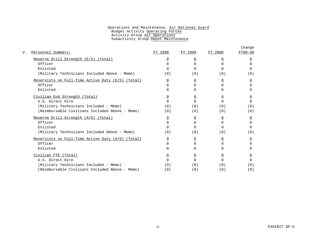|                                                   |                |                |                | Change         |
|---------------------------------------------------|----------------|----------------|----------------|----------------|
| Personnel Summary:                                | FY 1998        | FY 1999        | FY 2000        | FY99-00        |
| Reserve Drill Strength (E/S) (Total)              | $\overline{0}$ | 0              | 0              |                |
| Officer                                           | $\Omega$       | $\Omega$       | <sup>n</sup>   | ∩              |
| Enlisted                                          | <sup>n</sup>   | $\cap$         | <sup>n</sup>   |                |
| (Military Technicians Included Above - Memo)      | (0)            | (0)            | (0)            | (0)            |
| Reservists on Full-Time Active Duty (E/S) (Total) | $\overline{0}$ | $\overline{0}$ | $\overline{0}$ | $\overline{0}$ |
| Officer                                           | $\Omega$       | $\cap$         | $\cap$         | U              |
| Enlisted                                          | $\Omega$       | 0              | <sup>n</sup>   |                |
| Civilian End Strength (Total)                     | $\overline{0}$ | 0              | 0              |                |
| U.S. Direct Hire                                  | $\Omega$       | $\Omega$       | $\cap$         | <sup>n</sup>   |
| (Military Technicians Included - Memo)            | (0)            | (0)            | (0)            | (0)            |
| (Reimbursable Civilians Included Above - Memo)    | (0)            | (0)            | (0)            | (0)            |
| Reserve Drill Strength (A/S) (Total)              | $\overline{0}$ | 0              | 0              | 0              |
| Officer                                           | $\Omega$       | $\Omega$       | $\Omega$       | <sup>n</sup>   |
| Enlisted                                          | <sup>n</sup>   | $\cap$         | <sup>n</sup>   | <sup>n</sup>   |
| (Military Technicians Included Above - Memo)      | (0)            | (0)            | (0)            | (0)            |
| Reservists on Full-Time Active Duty (A/S) (Total) | $\overline{0}$ | 0              | $\Omega$       | 0              |
| Officer                                           | $\Omega$       | $\Omega$       | $\Omega$       | <sup>n</sup>   |
| Enlisted                                          | <sup>n</sup>   | $\Omega$       | <sup>n</sup>   |                |
| Civilian FTE (Total)                              | $\overline{0}$ | $\overline{0}$ | $\overline{0}$ | <u>0</u>       |
| U.S. Direct Hire                                  | 0              | $\Omega$       | $\Omega$       |                |
| (Military Technicians Included - Memo)            | (0)            | (0)            | (0)            | (0)            |
| (Reimbursable Civilians Included Above - Memo)    | (0)            | (0)            | (0)            | (0)            |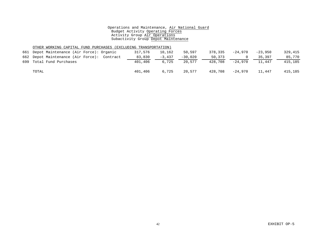#### OTHER WORKING CAPITAL FUND PURCHASES (EXCLUDING TRANSPORTATION)

| 661 Depot Maintenance (Air Force): Organic  | 317,576 | 10,162   | 50,597    | 378,335 | $-24.970$ | $-23,950$ | 329,415 |
|---------------------------------------------|---------|----------|-----------|---------|-----------|-----------|---------|
| 662 Depot Maintenance (Air Force): Contract | 83,830  | $-3,437$ | $-30.020$ | 50,373  |           | 35,397    | 85,770  |
| 699 Total Fund Purchases                    | 401,406 | 6,725    | 20,577    | 428,708 | $-24.970$ | 11,447    | 415,185 |
| TOTAL                                       | 401,406 | 6,725    | 20.577    | 428,708 | -24,970   | 11,447    | 415,185 |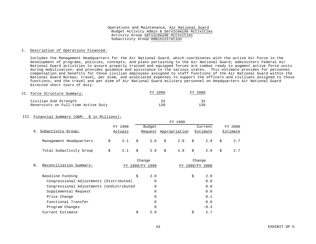#### I. Description of Operations Financed:

Includes the Management Headquarters for the Air National Guard, which coordinates with the active Air Force in the development of programs, policies, concepts, and plans pertaining to the Air National Guard; administers Federal Air National Guard activities to assure properly trained and equipped forces are combat ready to augment active force units during mobilization; and provides guidance and assistance to the various states. This estimate provides for personnel compensation and benefits for those civilian employees assigned to staff functions of the Air National Guard within the National Guard Bureau; travel, per diem, and associated expenses to support the officers and civilians assigned to those functions; and the travel and per diem of Air National Guard military personnel on Headquarters Air National Guard directed short tours of duty.

| II. Force Structure Summary:        | FY 1999 | FY 2000 |
|-------------------------------------|---------|---------|
| Civilian End Strength               | 33      |         |
| Reservists on Full-time Active Duty | 139     | 139     |

#### III. Financial Summary (O&M: \$ in Millions):

|                         |         |         |    | FY 1999  |  |                       |         |                 |  |                 |
|-------------------------|---------|---------|----|----------|--|-----------------------|---------|-----------------|--|-----------------|
|                         | FY 1998 |         |    | Budget   |  |                       | Current |                 |  | FY 2000         |
| A. Subactivity Group:   |         | Actuals |    |          |  | Request Appropriation |         | <b>Estimate</b> |  | <b>Estimate</b> |
| Management Headquarters |         |         |    |          |  | 2.1 \$ 2.9 \$ 2.9 \$  |         | $2.9$ \$        |  |                 |
| Total Subactivity Group |         | 2.1     | \$ | $2.9$ \$ |  | 2.9                   | S.      | 2.9             |  |                 |

|           |                                          | Change       |     | Change          |        |
|-----------|------------------------------------------|--------------|-----|-----------------|--------|
| <b>B.</b> | Reconciliation Summary:                  | 1999/FY 1999 |     | FY 1999/FY 2000 |        |
|           | Baseline Funding                         | \$           | 2.9 | \$              | 2.9    |
|           | Congressional Adjustments (Distributed)  |              | 0   |                 | 0.0    |
|           | Congressional Adjustments (Undistributed |              | 0   |                 | 0.0    |
|           | Supplemental Request                     |              |     |                 | 0.0    |
|           | Price Change                             |              | 0   |                 | 0.1    |
|           | Functional Transfer                      |              | 0   |                 | 0.0    |
|           | Program Changes                          |              | 0   |                 | $-0.3$ |
|           | Current Estimate                         | Ś            | 2.9 | Ś               | 2.7    |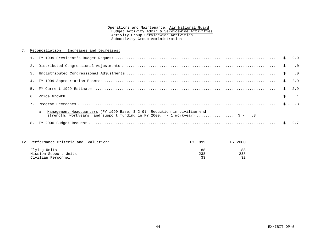#### C. Reconciliation: Increases and Decreases:

| 7. |                                                                                                                                                                     |  |
|----|---------------------------------------------------------------------------------------------------------------------------------------------------------------------|--|
|    | a. Management Headquarters (FY 1999 Base, \$ 2.9) Reduction in civilian end<br>strength, workyears, and support funding in FY 2000. $(-1 \text{ workyear})$ \$ - .3 |  |
|    |                                                                                                                                                                     |  |

| IV. Performance Criteria and Evaluation:                    |           |                       |
|-------------------------------------------------------------|-----------|-----------------------|
| Flying Units<br>Mission Support Units<br>Civilian Personnel | 88<br>238 | 88<br>238<br><u>ີ</u> |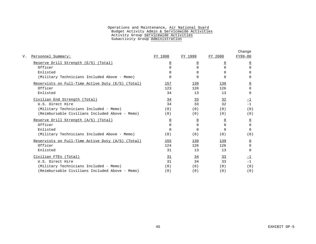|                                                     |                |                |                | Change         |
|-----------------------------------------------------|----------------|----------------|----------------|----------------|
| Personnel Summary:                                  | FY 1998        | FY 1999        | FY 2000        | FY99-00        |
| Reserve Drill Strength (E/S) (Total)                | $\Omega$       | $\Omega$       | $\overline{0}$ | 0              |
| Officer                                             | <sup>0</sup>   | $\Omega$       | $\Omega$       | $\Omega$       |
| Enlisted                                            | <sup>0</sup>   | 0              | $\Omega$       | 0              |
| (Military Technicians Included Above - Memo)        | <sup>0</sup>   | $\Omega$       | $\Omega$       | 0              |
| Reservists on Full-Time Active Duty (E/S) (Total)   | 157            | 139            | 139            | $\overline{0}$ |
| Officer                                             | 123            | 126            | 126            | $\cap$         |
| Enlisted                                            | 34             | 13             | 13             | $\Omega$       |
| Civilian End Strength (Total)                       | 34             | 33             | 32             | $-1$           |
| U.S. Direct Hire                                    | 34             | 33             | 32             | $-1$           |
| (Military Technicians Included - Memo)              | (0)            | (0)            | (0)            | (0)            |
| (Reimbursable Civilians Included Above - Memo)      | (0)            | (0)            | (0)            | (0)            |
| Reserve Drill Strength (A/S) (Total)                | $\overline{0}$ | $\overline{0}$ | $\overline{0}$ | $\overline{0}$ |
| Officer                                             | <sup>0</sup>   | $\Omega$       | $\Omega$       | $\Omega$       |
| Enlisted                                            | $\cap$         | $\Omega$       | $\cap$         | $\Omega$       |
| (Military Technicians Included Above - Memo)        | (0)            | (0)            | (0)            | (0)            |
| Reservists on Full-Time Active Duty $(A/S)$ (Total) | 155            | 139            | 139            | $\overline{0}$ |
| Officer                                             | 124            | 126            | 126            | $\Omega$       |
| Enlisted                                            | 31             | 13             | 13             | $\Omega$       |
| Civilian FTEs (Total)                               | <u>31</u>      | <u>34</u>      | <u>33</u>      | <u>-1</u>      |
| U.S. Direct Hire                                    | 31             | 34             | 33             | $-1$           |
| (Military Technicians Included - Memo)              | (0)            | (0)            | (0)            | (0)            |
| (Reimbursable Civilians Included Above - Memo)      | (0)            | (0)            | (0)            | (0)            |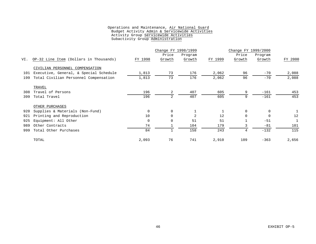|     |                                        |             | Change FY 1998/1999 |         |         | Change FY 1999/2000 |          |         |
|-----|----------------------------------------|-------------|---------------------|---------|---------|---------------------|----------|---------|
|     |                                        |             | Price               | Program |         | Price               | Program  |         |
| VI. | OP-32 Line Item (Dollars in Thousands) | FY 1998     | Growth              | Growth  | FY 1999 | Growth              | Growth   | FY 2000 |
|     | CIVILIAN PERSONNEL COMPENSATION        |             |                     |         |         |                     |          |         |
| 101 | Executive, General, & Special Schedule | 1,813       | 73                  | 176     | 2,062   | 96                  | $-70$    | 2,088   |
| 199 | Total Civilian Personnel Compensation  | 1,813       | 73                  | 176     | 2,062   | 96                  | $-70$    | 2,088   |
|     | TRAVEL                                 |             |                     |         |         |                     |          |         |
| 308 | Travel of Persons                      | 196         | 2                   | 407     | 605     | 9                   | $-161$   | 453     |
| 399 | Total Travel                           | 196         | 2                   | 407     | 605     | 9                   | $-161$   | 453     |
|     | OTHER PURCHASES                        |             |                     |         |         |                     |          |         |
| 920 | Supplies & Materials (Non-Fund)        | $\mathbf 0$ | $\mathbf 0$         |         |         | $\mathbf 0$         | $\Omega$ |         |
| 921 | Printing and Reproduction              | 10          | $\Omega$            | 2       | 12      | $\Omega$            | $\Omega$ | 12      |
| 925 | Equipment: All Other                   | 0           | 0                   | 51      | 51      |                     | $-51$    | 1       |
| 989 | Other Contracts                        | 74          |                     | 104     | 179     |                     | $-81$    | 101     |
| 999 | Total Other Purchases                  | 84          |                     | 158     | 243     | 4                   | $-132$   | 115     |
|     | TOTAL                                  | 2,093       | 76                  | 741     | 2,910   | 109                 | $-363$   | 2,656   |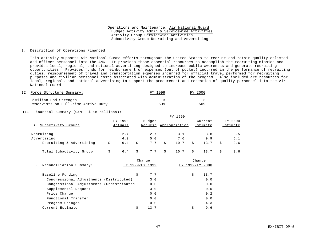#### I. Description of Operations Financed:

This activity supports Air National Guard efforts throughout the United States to recruit and retain quality enlisted and officer personnel into the ANG. It provides those essential resources to accomplish the recruiting mission and provides local, regional, and national advertising designed to increase public awareness and generate recruiting opportunities. Provides funds for reimbursement of expenses (out of pocket) incurred in the performance of recruiting duties, reimbursement of travel and transportation expenses incurred for official travel performed for recruiting purposes and civilian personnel costs associated with administration of the program. Also included are resources for local, regional, and national advertising to support the procurement and retention of quality personnel into the Air National Guard.

| II. Force Structure Summary:        | FY 1999 | FY 2000 |
|-------------------------------------|---------|---------|
| Civilian End Strength               |         |         |
| Reservists on Full-time Active Duty | 509     | 509     |

#### III. Financial Summary (O&M: \$ in Millions):

|                          |    |         |    | FY 1999 |    |               |    |          |   |          |
|--------------------------|----|---------|----|---------|----|---------------|----|----------|---|----------|
|                          |    | FY 1998 |    | Budget  |    |               |    | Current  |   | FY 2000  |
| A. Subactivity Group:    |    | Actuals |    | Request |    | Appropriation |    | Estimate |   | Estimate |
| Recruiting               |    | 2.4     |    | 2.7     |    | 3.1           |    | 3.8      |   | 3.5      |
| Advertising              |    | 4.0     |    | 5.0     |    | 7.6           |    | 9.9      |   | 6.1      |
| Recruiting & Advertising | S. | 6.4     |    | 7.7     | Ŝ. | 10.7          | Ŝ. | 13.7     | Ŝ | 9.6      |
| Total Subactivity Group  |    | 6.4     | Ŝ. | 7.7     | Ŝ. | 10.7          | Ŝ. | 13.7     | Ŝ | 9.6      |

|            |                                          | Change          | Change |              |        |
|------------|------------------------------------------|-----------------|--------|--------------|--------|
| <b>B</b> . | Reconciliation Summary:                  | FY 1999/FY 1999 |        | 1999/FY 2000 |        |
|            | Baseline Funding                         | \$              | 7.7    | \$           | 13.7   |
|            | Congressional Adjustments (Distributed)  |                 | 3.0    |              | 0.0    |
|            | Congressional Adjustments (Undistributed |                 | 0.0    |              | 0.0    |
|            | Supplemental Request                     |                 | 3.0    |              | 0.0    |
|            | Price Change                             |                 | 0.0    |              | 0.2    |
|            | Functional Transfer                      |                 | 0.0    |              | 0.0    |
|            | Program Changes                          |                 | 0.0    |              | $-4.3$ |
|            | Current Estimate                         | \$              | 13.7   | \$           | 9.6    |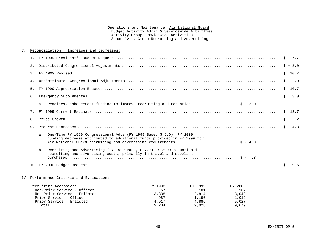#### C. Reconciliation: Increases and Decreases:

|    | a. Readiness enhancement funding to improve recruiting and retention  \$ + 3.0                                                                                                                                           |  |
|----|--------------------------------------------------------------------------------------------------------------------------------------------------------------------------------------------------------------------------|--|
|    |                                                                                                                                                                                                                          |  |
|    |                                                                                                                                                                                                                          |  |
|    |                                                                                                                                                                                                                          |  |
|    | a. One-Time FY 1999 Congressional Adds (FY 1999 Base, \$ 6.0) FY 2000<br>funding decrease attributed to additional funds provided in FY 1999 for<br>Air National Guard recruiting and advertising requirements  \$ - 4.0 |  |
| b. | Recruiting and Advertising (FY 1999 Base, \$ 7.7) FY 2000 reduction in<br>recruiting and advertising costs, primarily in travel and supplies                                                                             |  |
|    |                                                                                                                                                                                                                          |  |

#### IV. Performance Criteria and Evaluation:

| Recruiting Accessions        | FY 1998 | FY 1999 | FY 2000 |
|------------------------------|---------|---------|---------|
| Non-Prior Service - Officer  |         | 101     | 107     |
| Non-Prior Service - Enlisted | 3,338   | 2,814   | 3.040   |
| Prior Service - Officer      | 987     | 1,196   | 1,019   |
| Prior Service - Enlisted     | 4.917   | 4,886   | 5,027   |
| Total                        | 9,204   | 9,028   | 9,679   |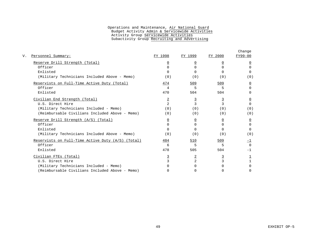| Personnel Summary:                                  | FY 1998        | FY 1999        | FY 2000        | Change<br>FY99-00 |
|-----------------------------------------------------|----------------|----------------|----------------|-------------------|
| Reserve Drill Strength (Total)                      | <u>0</u>       | $\Omega$       | $\mathbf{0}$   | <u>0</u>          |
| Officer                                             | U              | O              | <sup>n</sup>   | <sup>n</sup>      |
| Enlisted                                            | U              | U              | <sup>n</sup>   | $\Omega$          |
| (Military Technicians Included Above - Memo)        | (0)            | (0)            | (0)            | (0)               |
| Reservists on Full-Time Active Duty (Total)         | 474            | 509            | 509            | $\overline{0}$    |
| Officer                                             | 4              | 5              | 5              | $\Omega$          |
| Enlisted                                            | 470            | 504            | 504            | <sup>n</sup>      |
| Civilian End Strength (Total)                       | $\overline{2}$ | $\overline{3}$ | $\overline{3}$ | <u>0</u>          |
| U.S. Direct Hire                                    | $\mathfrak{D}$ | $\mathbf{3}$   | 3              | $\cap$            |
| (Military Technicians Included - Memo)              | (0)            | (0)            | (0)            | (0)               |
| (Reimbursable Civilians Included Above - Memo)      | (0)            | (0)            | (0)            | (0)               |
| Reserve Drill Strength (A/S) (Total)                | $\overline{0}$ | $\overline{0}$ | $\overline{0}$ | $\overline{0}$    |
| Officer                                             | $\cap$         | $\Omega$       | $\Omega$       | $\Omega$          |
| Enlisted                                            | <sup>n</sup>   | $\cap$         | <sup>n</sup>   | $\cap$            |
| (Military Technicians Included Above - Memo)        | (0)            | (0)            | (0)            | (0)               |
| Reservists on Full-Time Active Duty $(A/S)$ (Total) | 484            | 510            | 509            | 그                 |
| Officer                                             | 6              | 5              | 5              | $\Omega$          |
| Enlisted                                            | 478            | 505            | 504            | $-1$              |
| Civilian FTES (Total)                               | $\overline{3}$ | $\overline{2}$ | $\overline{3}$ |                   |
| U.S. Direct Hire                                    |                | $\overline{2}$ | 3              |                   |
| (Military Technicians Included - Memo)              |                |                |                |                   |
| (Reimbursable Civilians Included Above - Memo)      | 0              | U              | U              | <sup>n</sup>      |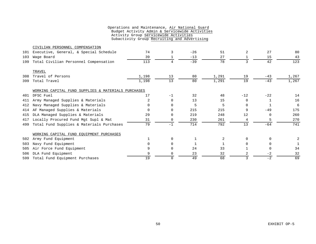|     | CIVILIAN PERSONNEL COMPENSATION                     |       |          |       |       |          |              |       |
|-----|-----------------------------------------------------|-------|----------|-------|-------|----------|--------------|-------|
| 101 | Executive, General, & Special Schedule              | 74    | 3        | $-26$ | 51    | 2        | 27           | 80    |
| 103 | Wage Board                                          | 39    |          | $-13$ | 27    |          | 15           | 43    |
| 199 | Total Civilian Personnel Compensation               | 113   | 4        | $-39$ | 78    | 3        | 42           | 123   |
|     | TRAVEL                                              |       |          |       |       |          |              |       |
| 308 | Travel of Persons                                   | 1,198 | 13       | 80    | 1,291 | 19       | $-43$        | 1,267 |
| 399 | Total Travel                                        | 1,198 | 13       | 80    | 1,291 | 19       | $-43$        | 1,267 |
|     | WORKING CAPITAL FUND SUPPLIES & MATERIALS PURCHASES |       |          |       |       |          |              |       |
| 401 | DFSC Fuel                                           | 17    | $-1$     | 32    | 48    | $-12$    | $-22$        | 14    |
| 411 | Army Managed Supplies & Materials                   | 2     | 0        | 13    | 15    | $\Omega$ |              | 16    |
| 412 | Navy Managed Supplies & Materials                   |       | $\Omega$ | 5     | 5     | $\Omega$ |              | 6     |
| 414 | AF Managed Supplies & Materials                     |       | $\Omega$ | 215   | 215   | 9        | $-49$        | 175   |
| 415 | DLA Managed Supplies & Materials                    | 29    | $\Omega$ | 219   | 248   | 12       | $\Omega$     | 260   |
| 417 | Locally Procured Fund Mgt Supl & Mat                | 31    | 0        | 230   | 261   | 4        |              | 270   |
| 499 | Total Fund Supplies & Materials Purchases           | 79    | $-1$     | 714   | 792   | 13       | $-64$        | 741   |
|     | WORKING CAPITAL FUND EOUIPMENT PURCHASES            |       |          |       |       |          |              |       |
| 502 | Army Fund Equipment                                 |       | $\Omega$ |       | 2     | $\Omega$ | $\Omega$     |       |
| 503 | Navy Fund Equipment                                 |       | $\Omega$ |       |       | $\Omega$ | $\Omega$     |       |
| 505 | Air Force Fund Equipment                            | 9     | $\Omega$ | 24    | 33    |          | <sup>0</sup> | 34    |
| 506 | DLA Fund Equipment                                  | 9     | $\Omega$ | 23    | 32    | 2        | $-2$         | 32    |
| 599 | Total Fund Equipment Purchases                      | 19    | $\Omega$ | 49    | 68    |          | $-2$         | 69    |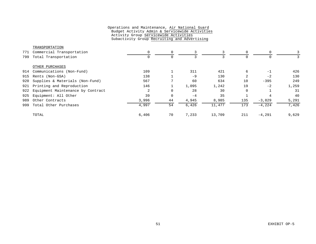|     | TRANSPORTATION                    |       |          |       |        |     |           |       |
|-----|-----------------------------------|-------|----------|-------|--------|-----|-----------|-------|
| 771 | Commercial Transportation         | 0     | 0        |       | 3      | 0   | $\Omega$  |       |
| 799 | Total Transportation              | 0     | $\Omega$ |       |        |     |           |       |
|     | OTHER PURCHASES                   |       |          |       |        |     |           |       |
| 914 | Communications (Non-Fund)         | 109   |          | 311   | 421    | 6   | $-1$      | 426   |
| 915 | Rents (Non-GSA)                   | 138   |          | $-9$  | 130    | 2   | $-2$      | 130   |
| 920 | Supplies & Materials (Non-Fund)   | 567   |          | 60    | 634    | 10  | $-395$    | 249   |
| 921 | Printing and Reproduction         | 146   |          | 1,095 | 1,242  | 19  | $-2$      | 1,259 |
| 922 | Equipment Maintenance by Contract | 2     | 0        | 28    | 30     | 0   |           | 31    |
| 925 | Equipment: All Other              | 39    | 0        | $-4$  | 35     |     | 4         | 40    |
| 989 | Other Contracts                   | 3,996 | 44       | 4,945 | 8,985  | 135 | $-3,829$  | 5,291 |
| 999 | Total Other Purchases             | 4,997 | 54       | 6,426 | 11,477 | 173 | $-4, 224$ | 7,426 |
|     | TOTAL                             | 6,406 | 70       | 7,233 | 13,709 | 211 | $-4,291$  | 9,629 |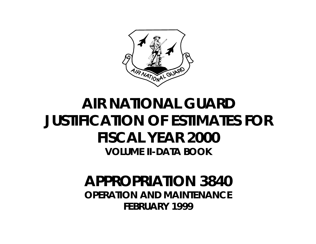

# **AIR NATIONAL GUARD JUSTIFICATION OF ESTIMATES FOR FISCAL YEAR 2000 VOLUME II-DATA BOOK**

## **APPROPRIATION 3840 OPERATION AND MAINTENANCE FEBRUARY 1999**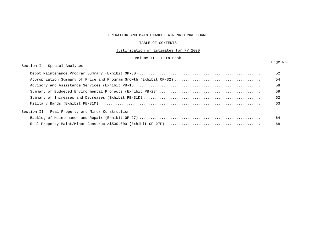#### OPERATION AND MAINTENANCE, AIR NATIONAL GUARD

#### TABLE OF CONTENTS

#### Justification of Estimates for FY 2000

Volume II - Data Book

Section I – Special Analyses

|                                                   | 52 |
|---------------------------------------------------|----|
|                                                   | 54 |
|                                                   | 58 |
|                                                   | 59 |
|                                                   | 62 |
|                                                   | 63 |
| Section II - Real Property and Minor Construction |    |
|                                                   | 64 |
|                                                   | 68 |

#### Page No.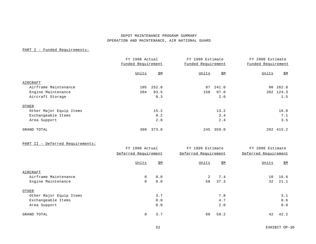#### DEPOT MAINTENANCE PROGRAM SUMMARY OPERATION AND MAINTENANCE, AIR NATIONAL GUARD

#### PART I - Funded Requirements:

|                         | FY 1998 Actual<br>Funded Requirement |            | FY 1999 Estimate<br>Funded Requirement |            | FY 2000 Estimate<br>Funded Requirement |            |
|-------------------------|--------------------------------------|------------|----------------------------------------|------------|----------------------------------------|------------|
|                         | Units                                | <u>\$M</u> | Units                                  | <u>\$М</u> | Units                                  | <u>\$M</u> |
| AIRCRAFT                |                                      |            |                                        |            |                                        |            |
| Airframe Maintenance    | 105                                  | 252.8      | 87                                     | 241.0      |                                        | 90 262.8   |
| Engine Maintenance      | 204                                  | 93.5       | 158                                    | 97.0       |                                        | 202 124.3  |
| Aircraft Storage        |                                      | 0.3        |                                        | 2.0        |                                        | 1.5        |
| OTHER                   |                                      |            |                                        |            |                                        |            |
| Other Major Equip Items |                                      | 15.2       |                                        | 13.2       |                                        | 16.0       |
| Exchangeable Items      |                                      | 9.2        |                                        | 3.4        |                                        | 7.1        |
| Area Support            |                                      | 2.8        |                                        | 2.4        |                                        | 3.5        |
| GRAND TOTAL             | 309                                  | 373.8      |                                        | 245 359.0  | 292                                    | 415.2      |

#### PART II - Deferred Requirements:

|                         | FY 1998 Actual | Deferred Requirement |       | FY 1999 Estimate<br>Deferred Requirement |       | FY 2000 Estimate<br>Deferred Requirement |
|-------------------------|----------------|----------------------|-------|------------------------------------------|-------|------------------------------------------|
|                         | Units          | <u>\$M</u>           | Units | <u>\$M</u>                               | Units | <u>\$M</u>                               |
| AIRCRAFT                |                |                      |       |                                          |       |                                          |
| Airframe Maintenance    | 0              | 0.0                  | 2     | 7.4                                      | 10    | 16.6                                     |
| Engine Maintenance      | 0              | 0.0                  | 58    | 37.3                                     | 32    | 21.1                                     |
| OTHER                   |                |                      |       |                                          |       |                                          |
| Other Major Equip Items |                | 3.7                  |       | 7.8                                      |       | 3.1                                      |
| Exchangeable Items      |                | 0.0                  |       | 4.7                                      |       | 0.6                                      |
| Area Support            |                | 0.0                  |       | 2.0                                      |       | 0.8                                      |
| GRAND TOTAL             | $\mathbf 0$    | 3.7                  | 60    | 59.2                                     | 42    | 42.2                                     |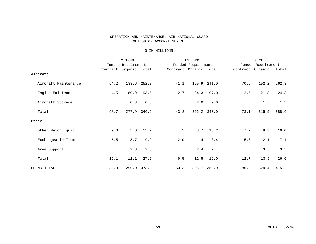#### OPERATION AND MAINTENANCE, AIR NATIONAL GUARD METHOD OF ACCOMPLISHMENT

#### \$ IN MILLIONS

|                      |          | FY 1998            |              |          | FY 1999            |              |          | FY 2000            |       |
|----------------------|----------|--------------------|--------------|----------|--------------------|--------------|----------|--------------------|-------|
|                      |          | Funded Requirement |              |          | Funded Requirement |              |          | Funded Requirement |       |
|                      | Contract | <u>Organic</u>     | <u>Total</u> | Contract | <u>Organic</u>     | <u>Total</u> | Contract | <u>Organic</u>     | Total |
| Aircraft             |          |                    |              |          |                    |              |          |                    |       |
| Aircraft Maintenance | 64.2     |                    | 188.6 252.8  | 41.1     |                    | 199.9 241.0  | 70.6     | 192.2              | 262.8 |
| Engine Maintenance   | 4.5      | 89.0               | 93.5         | 2.7      | 94.3               | 97.0         | 2.5      | 121.8              | 124.3 |
| Aircraft Storage     |          | 0.3                | 0.3          |          | 2.0                | 2.0          |          | 1.5                | 1.5   |
| Total                | 68.7     |                    | 277.9 346.6  | 43.8     |                    | 296.2 340.0  | 73.1     | 315.5              | 388.6 |
| Other                |          |                    |              |          |                    |              |          |                    |       |
| Other Major Equip    | 9.6      | 5.6                | 15.2         | 4.5      | 8.7                | 13.2         | 7.7      | 8.3                | 16.0  |
| Exchangeable Items   | 5.5      | 3.7                | 9.2          | 2.0      | 1.4                | 3.4          | $5.0$    | 2.1                | 7.1   |
| Area Support         |          | 2.8                | 2.8          |          | 2.4                | 2.4          |          | 3.5                | 3.5   |
| Total                | 15.1     | 12.1               | 27.2         | 6.5      | 12.5               | 19.0         | 12.7     | 13.9               | 26.6  |
| GRAND TOTAL          | 83.8     |                    | 290.0 373.8  | 50.3     |                    | 308.7 359.0  | 85.8     | 329.4              | 415.2 |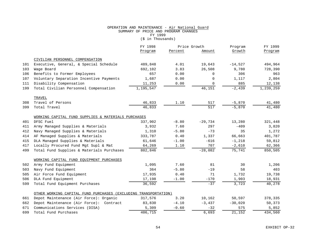#### OPERATION AND MAINTENANCE - Air National Guard SUMMARY OF PRICE AND PROGRAM CHANGES FY 1999 (\$ in Thousands)

|     |                                                                 | FY 1998   | Price Growth |             | Program   | FY 1999   |
|-----|-----------------------------------------------------------------|-----------|--------------|-------------|-----------|-----------|
|     |                                                                 | Program   | Percent      | Amount      | Growth    | Program   |
|     | CIVILIAN PERSONNEL COMPENSATION                                 |           |              |             |           |           |
| 101 | Executive, General, & Special Schedule                          | 489,848   | 4.01         | 19,643      | $-14,527$ | 494,964   |
| 103 | Wage Board                                                      | 692,102   | 3.83         | 26,508      | 9,780     | 728,390   |
| 106 | Benefits to Former Employees                                    | 657       | 0.00         | $\mathbf 0$ | 306       | 963       |
| 107 | Voluntary Separation Incentive Payments                         | 1,687     | 0.00         | $\mathbf 0$ | 1,117     | 2,804     |
| 111 | Disability Compensation                                         | 11,253    | 0.00         | 0           | 885       | 12,138    |
| 199 | Total Civilian Personnel Compensation                           | 1,195,547 |              | 46,151      | $-2,439$  | 1,239,259 |
|     | TRAVEL                                                          |           |              |             |           |           |
| 308 | Travel of Persons                                               | 46,833    | 1.10         | 517         | $-5,870$  | 41,480    |
| 399 | Total Travel                                                    | 46,833    |              | 517         | $-5,870$  | 41,480    |
|     | WORKING CAPITAL FUND SUPPLIES & MATERIALS PURCHASES             |           |              |             |           |           |
| 401 | DFSC Fuel                                                       | 337,902   | $-8.80$      | $-29,734$   | 13,280    | 321,448   |
| 411 | Army Managed Supplies & Materials                               | 3,932     | 7.60         | 297         | $-409$    | 3,820     |
| 412 | Navy Managed Supplies & Materials                               | 1,310     | $-5.80$      | $-73$       | 35        | 1,272     |
| 414 | AF Managed Supplies & Materials                                 | 333,787   | 0.40         | 1,337       | 66,663    | 401,787   |
| 415 | DLA Managed Supplies & Materials                                | 61,646    | $-1.00$      | $-616$      | $-1,218$  | 59,812    |
| 417 | Locally Procured Fund Mgt Supl & Mat                            | 64,269    | 1.10         | 707         | $-2,610$  | 62,366    |
| 499 | Total Fund Supplies & Materials Purchases                       | 802,846   |              | $-28,082$   | 75,741    | 850,505   |
|     | WORKING CAPITAL FUND EOUIPMENT PURCHASES                        |           |              |             |           |           |
| 502 | Army Fund Equipment                                             | 1,095     | 7.60         | 81          | 30        | 1,206     |
| 503 | Navy Fund Equipment                                             | 364       | $-5.80$      | $-19$       | 58        | 403       |
| 505 | Air Force Fund Equipment                                        | 17,935    | 0.40         | 71          | 1,732     | 19,738    |
| 506 | DLA Fund Equipment                                              | 17,198    | $-1.00$      | $-170$      | 1,903     | 18,931    |
| 599 | Total Fund Equipment Purchases                                  | 36,592    |              | $-37$       | 3,723     | 40,278    |
|     | OTHER WORKING CAPITAL FUND PURCHASES (EXCLUDING TRANSPORTATION) |           |              |             |           |           |
| 661 | Depot Maintenance (Air Force): Organic                          | 317,576   | 3.20         | 10,162      | 50,597    | 378,335   |
| 662 | Depot Maintenance (Air Force): Contract                         | 83,830    | $-4.10$      | $-3,437$    | $-30,020$ | 50,373    |
| 671 | Communications Services (DISA)                                  | 5,309     | $-0.60$      | $-32$       | 575       | 5,852     |
| 699 | Total Fund Purchases                                            | 406,715   |              | 6,693       | 21,152    | 434,560   |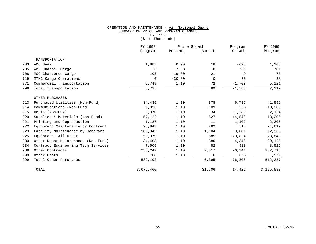#### OPERATION AND MAINTENANCE - Air National Guard SUMMARY OF PRICE AND PROGRAM CHANGES FY 1999  $(\frac{1}{2} \text{ in}$  Thousands)

|     |                                    | FY 1998<br>Price Growth |          |             | Program   | FY 1999   |
|-----|------------------------------------|-------------------------|----------|-------------|-----------|-----------|
|     |                                    | Program                 | Percent  | Amount      | Growth    | Program   |
|     | TRANSPORTATION                     |                         |          |             |           |           |
| 703 | AMC SAAM                           | 1,883                   | 0.90     | 18          | $-695$    | 1,206     |
| 705 | AMC Channel Cargo                  | $\mathbf 0$             | 7.00     | $\mathbf 0$ | 781       | 781       |
| 708 | MSC Chartered Cargo                | 103                     | $-19.80$ | $-21$       | $-9$      | 73        |
| 719 | MTMC Cargo Operations              | $\mathbf 0$             | $-30.80$ | $\mathbf 0$ | 38        | 38        |
| 771 | Commercial Transportation          | 6,749                   | 1.10     | 72          | $-1,700$  | 5,121     |
| 799 | Total Transportation               | 8,735                   |          | 69          | $-1,585$  | 7,219     |
|     | OTHER PURCHASES                    |                         |          |             |           |           |
| 913 | Purchased Utilities (Non-Fund)     | 34,435                  | 1.10     | 378         | 6,786     | 41,599    |
| 914 | Communications (Non-Fund)          | 9,956                   | 1.10     | 109         | 235       | 10,300    |
| 915 | Rents (Non-GSA)                    | 3,370                   | 1.10     | 34          | $-1,280$  | 2,124     |
| 920 | Supplies & Materials (Non-Fund)    | 57,122                  | 1.10     | 627         | $-44,543$ | 13,206    |
| 921 | Printing and Reproduction          | 1,187                   | 1.10     | 11          | 1,102     | 2,300     |
| 922 | Equipment Maintenance by Contract  | 23,843                  | 1.10     | 262         | 514       | 24,619    |
| 923 | Facility Maintenance by Contract   | 100,342                 | 1.10     | 1,104       | $-9,081$  | 92,365    |
| 925 | Equipment: All Other               | 53,079                  | 1.10     | 585         | $-29,824$ | 23,840    |
| 930 | Other Depot Maintenance (Non-Fund) | 34,403                  | 1.10     | 380         | 4,342     | 39,125    |
| 934 | Contract Engineering Tech Services | 7,505                   | 1.10     | 82          | 928       | 8,515     |
| 989 | Other Contracts                    | 256,242                 | 1.10     | 2,817       | $-6, 344$ | 252,715   |
| 998 | Other Costs                        | 708                     | 1.10     | 6           | 865       | 1,579     |
| 999 | Total Other Purchases              | 582,192                 |          | 6,395       | $-76,300$ | 512,287   |
|     | TOTAL                              | 3,079,460               |          | 31,706      | 14,422    | 3,125,588 |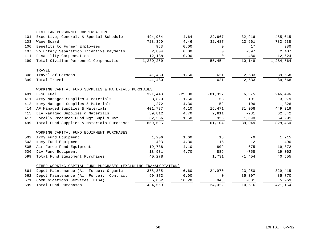|     | CIVILIAN PERSONNEL COMPENSATION                                 |           |          |            |            |                           |
|-----|-----------------------------------------------------------------|-----------|----------|------------|------------|---------------------------|
| 101 | Executive, General, & Special Schedule                          | 494,964   | 4.64     | 22,967     | $-32,916$  | 485,015                   |
| 103 | Wage Board                                                      | 728,390   | $4.46$   | 32,487     | 22,661     | 783,538                   |
| 106 | Benefits to Former Employees                                    | 963       | 0.00     | $\Omega$   | 17         | 980                       |
| 107 | Voluntary Separation Incentive Payments                         | 2,804     | 0.00     | $\Omega$   | $-397$     | 2,407                     |
| 111 | Disability Compensation                                         | 12,138    | 0.00     | $\Omega$   | 486        | 12,624                    |
| 199 | Total Civilian Personnel Compensation                           | 1,239,259 |          | 55,454     | $-10, 149$ | $\overline{1}$ , 284, 564 |
|     | TRAVEL                                                          |           |          |            |            |                           |
| 308 | Travel of Persons                                               | 41,480    | 1.50     | 621        | $-2,533$   | 39,568                    |
| 399 | Total Travel                                                    | 41,480    |          | 621        | $-2,533$   | 39,568                    |
|     | WORKING CAPITAL FUND SUPPLIES & MATERIALS PURCHASES             |           |          |            |            |                           |
| 401 | DFSC Fuel                                                       | 321,448   | $-25.30$ | $-81,327$  | 6,375      | 246,496                   |
| 411 | Army Managed Supplies & Materials                               | 3,820     | 1.60     | 58         | 101        | 3,979                     |
| 412 | Navy Managed Supplies & Materials                               | 1,272     | $-4.30$  | $-52$      | 106        | 1,326                     |
| 414 | AF Managed Supplies & Materials                                 | 401,787   | 4.10     | 16,471     | 31,058     | 449,316                   |
| 415 | DLA Managed Supplies & Materials                                | 59,812    | 4.70     | 2,811      | $-281$     | 62,342                    |
| 417 | Locally Procured Fund Mgt Supl & Mat                            | 62,366    | 1.50     | 935        | 1,690      | 64,991                    |
| 499 | Total Fund Supplies & Materials Purchases                       | 850,505   |          | $-61, 104$ | 39,049     | 828,450                   |
|     | WORKING CAPITAL FUND EOUIPMENT PURCHASES                        |           |          |            |            |                           |
| 502 | Army Fund Equipment                                             | 1,206     | 1.60     | 18         | $-9$       | 1,215                     |
| 503 | Navy Fund Equipment                                             | 403       | 4.30     | 15         | $-12$      | 406                       |
| 505 | Air Force Fund Equipment                                        | 19,738    | 4.10     | 809        | $-675$     | 19,872                    |
| 506 | DLA Fund Equipment                                              | 18,931    | 4.70     | 889        | $-758$     | 19,062                    |
| 599 | Total Fund Equipment Purchases                                  | 40,278    |          | 1,731      | $-1, 454$  | 40,555                    |
|     | OTHER WORKING CAPITAL FUND PURCHASES (EXCLUDING TRANSPORTATION) |           |          |            |            |                           |
| 661 | Depot Maintenance (Air Force): Organic                          | 378,335   | $-6.60$  | $-24,970$  | $-23,950$  | 329,415                   |
| 662 | Depot Maintenance (Air Force): Contract                         | 50,373    | 0.00     | 0          | 35,397     | 85,770                    |
| 671 | Communications Services (DISA)                                  | 5,852     | 16.20    | 948        | $-831$     | 5,969                     |
| 699 | Total Fund Purchases                                            | 434,560   |          | $-24.022$  | 10,616     | 421,154                   |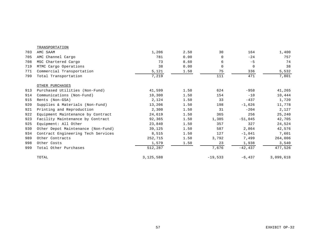|     | TRANSPORTATION                     |           |      |             |            |           |
|-----|------------------------------------|-----------|------|-------------|------------|-----------|
| 703 | AMC SAAM                           | 1,206     | 2.50 | 30          | 164        | 1,400     |
| 705 | AMC Channel Cargo                  | 781       | 0.00 | 0           | $-24$      | 757       |
| 708 | MSC Chartered Cargo                | 73        | 8.60 | 6           | $-5$       | 74        |
| 719 | MTMC Cargo Operations              | 38        | 0.00 | $\mathbf 0$ | $\Omega$   | 38        |
| 771 | Commercial Transportation          | 5,121     | 1.50 | 75          | 336        | 5,532     |
| 799 | Total Transportation               | 7,219     |      | 111         | 471        | 7,801     |
|     | OTHER PURCHASES                    |           |      |             |            |           |
| 913 | Purchased Utilities (Non-Fund)     | 41,599    | 1.50 | 624         | $-958$     | 41,265    |
| 914 | Communications (Non-Fund)          | 10,300    | 1.50 | 154         | $-10$      | 10,444    |
| 915 | Rents (Non-GSA)                    | 2,124     | 1.50 | 33          | $-437$     | 1,720     |
| 920 | Supplies & Materials (Non-Fund)    | 13,206    | 1.50 | 198         | $-1,626$   | 11,778    |
| 921 | Printing and Reproduction          | 2,300     | 1.50 | 31          | $-204$     | 2,127     |
| 922 | Equipment Maintenance by Contract  | 24,619    | 1.50 | 365         | 256        | 25,240    |
| 923 | Facility Maintenance by Contract   | 92,365    | 1.50 | 1,385       | $-51,045$  | 42,705    |
| 925 | Equipment: All Other               | 23,840    | 1.50 | 357         | 327        | 24,524    |
| 930 | Other Depot Maintenance (Non-Fund) | 39,125    | 1.50 | 587         | 2,864      | 42,576    |
| 934 | Contract Engineering Tech Services | 8,515     | 1.50 | 127         | $-1,041$   | 7,601     |
| 989 | Other Contracts                    | 252,715   | 1.50 | 3,792       | 7,499      | 264,006   |
| 998 | Other Costs                        | 1,579     | 1.50 | 23          | 1,938      | 3,540     |
| 999 | Total Other Purchases              | 512,287   |      | 7,676       | $-42, 437$ | 477,526   |
|     | TOTAL                              | 3,125,588 |      | $-19,533$   | $-6, 437$  | 3,099,618 |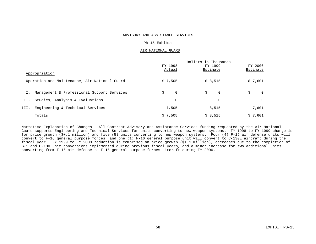#### ADVISORY AND ASSISTANCE SERVICES

#### PB-15 Exhibit

#### AIR NATIONAL GUARD

|      | Appropriation                                 | FY 1998<br>Actual | Dollars in Thousands<br>FY 1999<br>Estimate | FY 2000<br>Estimate |
|------|-----------------------------------------------|-------------------|---------------------------------------------|---------------------|
|      | Operation and Maintenance, Air National Guard | \$7,505           | \$8,515                                     | \$7,601             |
|      | Management & Professional Support Services    | \$<br>0           | \$<br>0                                     | \$<br>$\Omega$      |
| II.  | Studies, Analysis & Evaluations               | $\mathbf 0$       | 0                                           | $\Omega$            |
| III. | Engineering & Technical Services              | 7,505             | 8,515                                       | 7,601               |
|      | Totals                                        | \$7.505           | \$8,515                                     | \$7,601             |

Narrative Explanation of Changes: All Contract Advisory and Assistance Services funding requested by the Air National Guard supports Engineering and Technical Services for units converting to new weapon systems. FY 1998 to FY 1999 change is for price growth (\$+.1 million) and five (5) units converting to new weapon systems. Four (4) F-16 air defense units will convert to F-16 general purpose forces, and one (1) F-16 general purpose unit will convert to C-130E aircraft during the fiscal year. FY 1999 to FY 2000 reduction is comprised on price growth (\$+.1 million), decreases due to the completion of B-1 and C-130 unit conversions implemented during previous fiscal years, and a minor increase for two additional units converting from F-16 air defense to F-16 general purpose forces aircraft during FY 2000.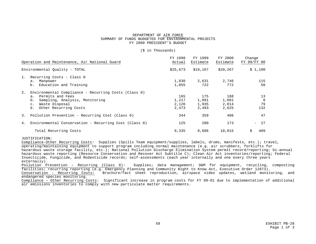#### DEPARTMENT OF AIR FORCE SUMMARY OF FUNDS BUDGETED FOR ENVIRONMENTAL PROJECTS FY 2000 PRESIDENT'S BUDGET

#### (\$ in Thousands)

|    | Operation and Maintenance, Air National Guard                                                                                                                                     | FY 1998<br>Actual              | FY 1999<br>Estimate            | FY 2000<br>Estimate            | Change<br>FY 99/FY 00       |
|----|-----------------------------------------------------------------------------------------------------------------------------------------------------------------------------------|--------------------------------|--------------------------------|--------------------------------|-----------------------------|
|    | Environmental Quality - TOTAL                                                                                                                                                     | \$25,673                       | \$19,167                       | \$20, 267                      | \$1,100                     |
| 1. | Recurring Costs - Class 0<br>a. Manpower<br>b. Education and Training                                                                                                             | 1,830<br>1,055                 | 2,631<br>722                   | 2,746<br>772                   | 115<br>50                   |
| 2. | Environmental Compliance - Recurring Costs (Class 0)<br>a. Permits and Fees<br>Sampling, Analysis, Monitoring<br>b.<br>Waste Disposal<br>$\circ$ .<br>Other Recurring Costs<br>d. | 165<br>1,217<br>2,126<br>2,473 | 175<br>1,091<br>1,935<br>2,493 | 188<br>1,091<br>2,014<br>2,625 | 13<br>$\Omega$<br>79<br>132 |
|    | 3. Pollution Prevention - Recurring Cost (Class 0)                                                                                                                                | 344                            | 359                            | 406                            | 47                          |
| 4. | Environmental Conservation - Recurring Cost (Class 0)                                                                                                                             | 125                            | 200                            | 173                            | 27<br>$=$                   |
|    | Total Recurring Costs                                                                                                                                                             | 9,335                          | 9,606                          | 10,015                         | 409<br>Ŝ.                   |

#### JUSTIFICATION:

Compliance-Other Recurring Costs: Supplies (Spills Team equipment/supplies, labels, drums, manifests, etc.); travel, operating/maintaining equipment to support program including normal maintenance (e.g. air scrubbers, forklifts for hazardous waste storage facility, etc.); National Pollution Discharge Elimination System permit record/reporting; bi-annual hazardous waste reporting (Resource Conservation and Recover Act Subtitle C); Clean Air Act inventories/reporting; Federal Insecticide, Fungicide, and Rodenticide records; self-assessments (each year internally and one every three years externally).

Pollution Prevention – Recurring (Class 0): Supplies; data management; O&M for equipment, recycling, composting facilities; recurring reporting (e.g. Emergency Planning and Community Right to Know Act, Executive Order 12873).

Brochure/fact sheet reproduction, airspace video updates, wetland monitoring, and endangered species monitoring.

Compliance – Other Recurring Costs: Significant increase in program costs for FY 99-01 due to implementation of additional air emissions inventories to comply with new particulate matter requirements.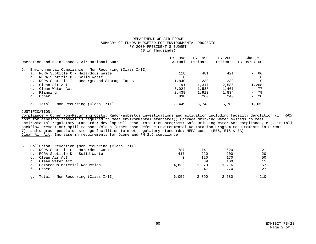#### DEPARTMENT OF AIR FORCE SUMMARY OF FUNDS BUDGETED FOR ENVIRONMENTAL PROJECTS FY 2000 PRESIDENT'S BUDGET (\$ in Thousands)

| Operation and Maintenance, Air National Guard | Actual                                                                                                                                                                                                                                                  | Estimate | Estimate |                         |
|-----------------------------------------------|---------------------------------------------------------------------------------------------------------------------------------------------------------------------------------------------------------------------------------------------------------|----------|----------|-------------------------|
|                                               |                                                                                                                                                                                                                                                         |          |          | FY 99/FY 00             |
|                                               |                                                                                                                                                                                                                                                         |          |          |                         |
|                                               |                                                                                                                                                                                                                                                         |          |          |                         |
|                                               |                                                                                                                                                                                                                                                         |          |          | 60<br>$\qquad \qquad -$ |
|                                               | $\Omega$                                                                                                                                                                                                                                                |          |          | $\Omega$                |
|                                               | 1,840                                                                                                                                                                                                                                                   | 239      | 239      | $\Omega$                |
|                                               | 191                                                                                                                                                                                                                                                     | 1,317    | 2,585    | 1,268                   |
|                                               | 3.024                                                                                                                                                                                                                                                   | 1,538    | 1,461    | $-77$                   |
|                                               | 2,438                                                                                                                                                                                                                                                   | 1,913    | 1,834    | $-79$                   |
|                                               | 838                                                                                                                                                                                                                                                     | 260      | 240      | $-20$                   |
|                                               | 8,449                                                                                                                                                                                                                                                   | 5,748    | 6,780    | 1,032                   |
|                                               | Environmental Compliance - Non Recurring (Class $I/II$ )<br>RCRA Subtitle C - Hazardous Waste<br>RCRA Subtitle D - Solid Waste<br>RCRA Subtitle I - Underground Storage Tanks<br>Clean Air Act<br>Clean Water Act<br>Total - Non Recurring (Class I/II) | 118      | 481      | 421                     |

#### JUSTIFICATION:

Compliance – Other Non-Recurring Costs: Radon/asbestos investigations and mitigation including facility demolition (if >50% cost for asbestos removal is required to meet environmental standards); upgrade drinking water systems to meet environmental regulatory standards; develop well head protection programs; Safe Drinking Water Act compliance, e.g. install backflow prevention; spill response/clean (other than Defense Environmental Restoration Program requirements in Format E-7); and upgrade pesticide storage facilities to meet regulatory standards; NEPA costs (EBS, EIS & EA). Clean Air Act: Increase in requirements for Ozone and PM 2.5 compliance.

|    | 6. Pollution Prevention (Non Recurring (Class I/II) |       |       |       |                                |
|----|-----------------------------------------------------|-------|-------|-------|--------------------------------|
|    | a. RCRA Subtitle C - Hazardous Waste                | 787   | 741   | 620   | $-121$                         |
|    | b. RCRA Subtitle D - Solid Waste                    | 417   | 220   | 200   | 20<br>$\overline{\phantom{0}}$ |
|    | c. Clean Air Act                                    |       | 120   | 170   | 50                             |
|    | d. Clean Water Act                                  |       | 89    | 100   | 11                             |
|    | e. Hazardous Material Reduction                     | 4,835 | 1,373 | 1,216 | $-157$                         |
|    | f. Other                                            |       | 247   | 274   | 27                             |
| q. | Total - Non Recurring (Class I/II)                  | 6.052 | 2,790 | 2,580 | $-210$                         |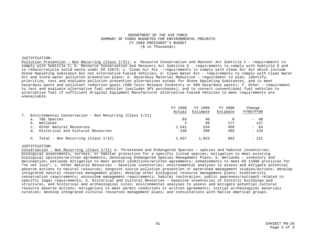#### DEPARTMENT OF THE AIR FORCE SUMMARY OF FUNDS BUDGETED FOR ENVIRONMENTAL PROJECTS FY 2000 PRESIDENT'S BUDGET (\$ in Thousands)

#### JUSTIFICATION:

Pollution Prevention – Non Recurring (Class I/II): a. Resource Conservation and Recover Act Subtitle C – requirements to comply with Subtitle C; b. Resource Conservation and Recovery Act Subtitle D – requirements to comply with Subtitle D and to reduce/recycle solid waste under EO 12873; c. Clean Air Act -–requirements to comply with Clean Air Act which include Ozone Depleting Substance but not Alternative Fueled Vehicles; d. Clean Water Act – requirements to comply with Clean Water Act and storm water pollution prevention plans; e. Hazardous Material Reduction – requirement to plan, identify, prioritize, test and evaluate pollution prevention alternatives except for Ozone Depleting Substances, and to meet hazardous waste and pollutant reduction goals (50% Toxic Release Inventory or 50% hazardous waste); f. Other – requirement to test and evaluate alternative fuel vehicles (excludes AFV purchases), and to convert conventional fuel vehicles to alternative fuel if sufficient Original Equipment Manufacturer Alternative Fueled Vehicles to meet requirements are unavailable.

|                                                            | FY 1998<br>Actual | FY 1999<br>Estimate | FY 2000<br>Estimate | Change<br>FY99/FY00             |
|------------------------------------------------------------|-------------------|---------------------|---------------------|---------------------------------|
| Environmental Conservation - Non Recurring (Class $I/II$ ) |                   |                     |                     |                                 |
| T&E Species<br>а.                                          | 63                | 40                  |                     | -40<br>$\overline{\phantom{0}}$ |
| Wetlands<br>b <sub>1</sub>                                 |                   | 50                  | 177                 | 127                             |
| Other Natural Resources<br>$\mathsf{C}$ .                  | 1,541             | 534                 | 450                 | 84<br>Ξ.                        |
| Historical and Cultural Resources<br>d.                    | 230               | 399                 | 265                 | $-134$                          |
| Total - Non Recurring (Class I/II)<br>h.                   | 1,837             | 1,023               | 892                 | $-131$                          |

#### JUSTIFICATION:

Conservation – Non Recurring (Class I/II) a: Threatened and Endangered Species – species and habitat inventories; biological assessments, surveys, or habitat protection for a specific listed species; mitigation to meet existing biological opinions/written agreements; developing Endangered Species Management Plans; b. Wetlands – inventory and delineation; wetlands mitigation to meet permit conditions/written agreements; enhancements to meet EO 11990 provision for "no net loss"; c. Other Natural Resources – baseline inventories; environmental analyses to assess and mitigate potential adverse actions to natural resources; nonpoint source pollution prevention or watershed management studies/actions; develop integrated natural resources management plans; develop other biological resource management plans; biodiversity conservation requirements; ecosystem management requirements; habitat restoration; public awareness/outreach related to specific legal requirements; d. Historical and Cultural Resources – baseline inventories of historic buildings and structures, and historical and archeological sites; environmental analyses to assess and mitigate potential cultural resource adverse actions; mitigations to meet permit conditions or written agreements; initial archeological materials curation; develop integrated cultural resources management plans; and consultations with Native American groups.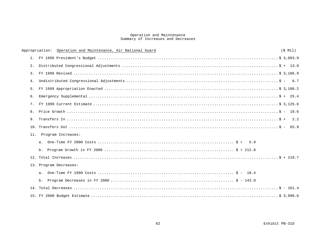## Operation and Maintenance<br>Summary of Increases and Decreases

|                | Operation and Maintenance, Air National Guard<br>Appropriation: | $(S$ Mil $)$ |
|----------------|-----------------------------------------------------------------|--------------|
|                |                                                                 |              |
| 2.             |                                                                 |              |
| 3 <sub>1</sub> |                                                                 |              |
| 4.             |                                                                 |              |
| 5.             |                                                                 |              |
| б.             |                                                                 |              |
| 7.             |                                                                 |              |
| 8.             |                                                                 |              |
| 9.             |                                                                 |              |
|                |                                                                 |              |
|                | 11. Program Increases:                                          |              |
|                |                                                                 |              |
|                |                                                                 |              |
|                |                                                                 |              |
|                | 13. Program Decreases:                                          |              |
|                |                                                                 |              |
|                |                                                                 |              |
|                |                                                                 |              |
|                |                                                                 |              |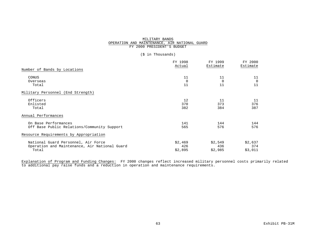#### MILITARY BANDS OPERATION AND MAINTENANCE, AIR NATIONAL GUARD FY 2000 PRESIDENT'S BUDGET

#### (\$ in Thousands)

|                                               | FY 1998  | FY 1999  | FY 2000  |
|-----------------------------------------------|----------|----------|----------|
|                                               | Actual   | Estimate | Estimate |
| Number of Bands by Locations                  |          |          |          |
| CONUS                                         | 11       | 11       | 11       |
| Overseas                                      | $\Omega$ | $\Omega$ | $\Omega$ |
| Total                                         | 11       | 11       | 11       |
| Military Personnel (End Strength)             |          |          |          |
| Officers                                      | 12       | 11       | 11       |
| Enlisted                                      | 370      | 373      | 376      |
| Total                                         | 382      | 384      | 387      |
| Annual Performances                           |          |          |          |
| On Base Performances                          | 141      | 144      | 144      |
| Off Base Public Relations/Community Support   | 565      | 576      | 576      |
| Resource Requirements by Appropriation        |          |          |          |
| National Guard Personnel, Air Force           | \$2,469  | \$2,549  | \$2,637  |
| Operation and Maintenance, Air National Guard | 426      | 436      | 374      |
| Total                                         | \$2,895  | \$2,985  | \$3,011  |

Explanation of Program and Funding Changes: FY 2000 changes reflect increased military personnel costs primarily related to additional pay raise funds and a reduction in operation and maintenance requirements.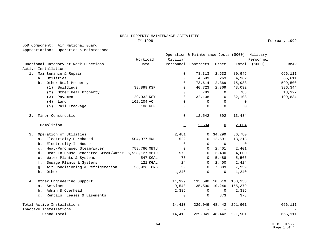#### REAL PROPERTY MAINTENANCE ACTIVITIES

FY 1998 February 1999

DoD Component: Air National Guard

Appropriation: Operation & Maintenance

|       |                                                          |              |                          | Operation & Maintenance Costs (\$000) |             |         | Military  |             |
|-------|----------------------------------------------------------|--------------|--------------------------|---------------------------------------|-------------|---------|-----------|-------------|
|       |                                                          | Workload     | Civilian                 |                                       |             |         | Personnel |             |
|       | Functional Category at Work Functions                    | Data         |                          | Personnel Contracts                   | Other       | Total   | (5000)    | <b>BMAR</b> |
|       | Active Installations                                     |              |                          |                                       |             |         |           |             |
| 1.    | Maintenance & Repair                                     |              | 0                        | 78,313                                | 2,632       | 80,945  |           | 666,111     |
|       | a. Utilities                                             |              | $\Omega$                 | 4,699                                 | 263         | 4,962   |           | 66,611      |
|       | Other Real Property<br>b.                                |              | 0                        | 73,614                                | 2,369       | 75,983  |           | 599,500     |
|       | (1) Buildings                                            | 38,899 KSF   | 0                        | 40,723                                | 2,369       | 43,092  |           | 386,344     |
|       | Other Real Property<br>(2)                               |              | $\Omega$                 | 783                                   | 0           | 783     |           | 13,322      |
|       | Pavements<br>(3)                                         | 29,032 KSY   | $\Omega$                 | 32,108                                | 0           | 32,108  |           | 199,834     |
|       | (4)<br>Land                                              | 102,204 AC   | 0                        | 0                                     | 0           | 0       |           |             |
|       | Rail Trackage<br>(5)                                     | 106 KLF      | 0                        | $\Omega$                              | $\Omega$    | 0       |           |             |
| $2$ . | Minor Construction                                       |              | $\overline{0}$           | 12,542                                | 892         | 13,434  |           |             |
|       | Demolition                                               |              | $\Omega$                 | 2,604                                 | $\Omega$    | 2,604   |           |             |
| 3.    | Operation of Utilities                                   |              | 2,481                    |                                       | 0, 34, 299  | 36,780  |           |             |
|       | Electricity-Purchased<br>а.                              | 504,977 MWH  | 522                      | $\Omega$                              | 12,691      | 13,213  |           |             |
|       | Electricity-In House<br>b.                               |              | 0                        | 0                                     | 0           | 0       |           |             |
|       | Heat-Purchased Steam/Water<br>$\mathsf{C}$ .             | 758,780 MBTU | $\mathbf 0$              | $\Omega$                              | 2,401       | 2,401   |           |             |
|       | Heat-In House Generated Steam/Water 6,528,127 MBTU<br>d. |              | 570                      | $\Omega$                              | 3,430       | 4,000   |           |             |
|       | Water Plants & Systems<br>е.                             | 547 KGAL     | 75                       | 0                                     | 5,488       | 5,563   |           |             |
|       | Sewage Plants & Systems<br>f.                            | 121 KGAL     | 24                       | $\Omega$                              | 2,400       | 2,424   |           |             |
|       | Air Conditioning & Refrigeration<br>g.                   | 36,926 TONS  | 50                       | $\Omega$                              | 7,889       | 7,939   |           |             |
|       | Other<br>h.                                              |              | 1,240                    | $\mathbf 0$                           | 0           | 1,240   |           |             |
| 4.    | Other Engineering Support                                |              | 11,929                   | 135,590 10,619                        |             | 158,138 |           |             |
|       | Services<br>а.                                           |              | 9,543                    | 135,590 10,246                        |             | 155,379 |           |             |
|       | Admin & Overhead<br>b.                                   |              | 2,386                    | $\mathsf{O}$                          | $\mathbf 0$ | 2,386   |           |             |
|       | Rentals, Leases & Easements<br>$\mathsf{C}$ .            |              | $\Omega$                 | $\mathbf 0$                           | 373         | 373     |           |             |
|       | Total Active Installations                               |              | 14,410                   | 229,049 48,442                        |             | 291,901 |           | 666,111     |
|       | Inactive Installations                                   |              | $\overline{\phantom{a}}$ |                                       |             |         |           |             |
|       | Grand Total                                              |              | 14,410                   | 229,049 48,442                        |             | 291,901 |           | 666,111     |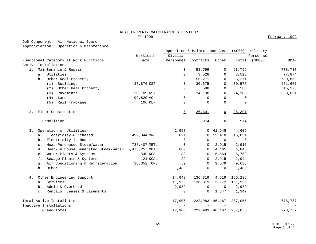#### REAL PROPERTY MAINTENANCE ACTIVITIES Figure 1999 February 1999 **February 1999**

DoD Component: Air National Guard

Appropriation: Operation & Maintenance

|       |                                                          |              |                          | Operation & Maintenance Costs (\$000) Military |                |                |                         |
|-------|----------------------------------------------------------|--------------|--------------------------|------------------------------------------------|----------------|----------------|-------------------------|
|       |                                                          | Workload     | Civilian                 |                                                |                |                | Personnel               |
|       | Functional Category at Work Functions                    | Data         |                          | Personnel Contracts                            | Other          | Total          | ( \$000)<br><b>BMAR</b> |
|       | Active Installations                                     |              |                          |                                                |                |                |                         |
| $1$ . | Maintenance & Repair                                     |              | $\overline{0}$           | 58,799                                         | $\overline{0}$ | 58,799         | 778,737                 |
|       | Utilities<br>a.                                          |              | $\Omega$                 | 3,528                                          | $\Omega$       | 3,528          | 77,874                  |
|       | Other Real Property<br>b.                                |              | $\Omega$                 | 55,271                                         | 0              | 55,271         | 700,863                 |
|       | Buildings<br>(1)                                         | 37,876 KSF   | $\Omega$                 | 30,575                                         | 0              | 30,575         | 451,667                 |
|       | Other Real Property<br>(2)                               |              | $\Omega$                 | 588                                            | 0              | 588            | 15,575                  |
|       | Pavements<br>(3)                                         | 28,109 KSY   | 0                        | 24,108                                         | 0              | 24,108         | 233,621                 |
|       | (4)<br>Land                                              | 99,820 AC    | 0                        | 0                                              | 0              | $\mathbf 0$    |                         |
|       | Rail Trackage<br>(5)                                     | 106 KLF      | 0                        | $\mathbf 0$                                    | $\Omega$       | $\mathbf 0$    |                         |
| $2$ . | Minor Construction                                       |              | $\Omega$                 | 26,391                                         | 0              | 26,391         |                         |
|       | Demolition                                               |              | $\overline{0}$           | 974                                            | $\overline{0}$ | 974            |                         |
| 3.    | Operation of Utilities                                   |              | 2,957                    |                                                | 0, 41, 648     | 44,605         |                         |
|       | a. Electricity-Purchased                                 | 499,844 MWH  | 621                      |                                                | 0 15,410       | 16,031         |                         |
|       | Electricity-In House<br>b.                               |              | 0                        | $\mathbf 0$                                    | $\Omega$       | $\overline{0}$ |                         |
|       | Heat-Purchased Steam/Water<br>$\mathbf{C}$ .             | 738,407 MBTU | 0                        | 0                                              | 2,915          | 2,915          |                         |
|       | Heat-In House Generated Steam/Water 6,475,257 MBTU<br>d. |              | 680                      | 0                                              | 4,165          | 4,845          |                         |
|       | Water Plants & Systems<br>e.                             | 549 KGAL     | 88                       | $\Omega$                                       | 6,664          | 6,752          |                         |
|       | Sewage Plants & Systems<br>f.                            | 121 KGAL     | 29                       | 0                                              | 2,915          | 2,944          |                         |
|       | Air Conditioning & Refrigeration<br>g.                   | 36,352 TONS  | 59                       | $\Omega$                                       | 9,579          | 9,638          |                         |
|       | Other<br>h.                                              |              | 1,480                    | $\Omega$                                       | $\Omega$       | 1,480          |                         |
| 4.    | Other Engineering Support                                |              | 14,948                   | 136,819                                        | 4,519          | 156,286        |                         |
|       | Services<br>а.                                           |              | 11,959                   | 136,819                                        | 3,172          | 151,950        |                         |
|       | Admin & Overhead<br>b.                                   |              | 2,989                    | 0                                              | $\mathbf 0$    | 2,989          |                         |
|       | Rentals, Leases & Easements<br>$\mathsf{c}$ .            |              | 0                        | 0                                              | 1,347          | 1,347          |                         |
|       | Total Active Installations                               |              | 17,905                   | 222,983 46,167                                 |                | 287,055        | 778,737                 |
|       | Inactive Installations                                   |              | $\overline{\phantom{a}}$ | $\overline{\phantom{a}}$                       |                |                |                         |
|       | Grand Total                                              |              | 17,905                   | 222,983 46,167                                 |                | 287,055        | 778,737                 |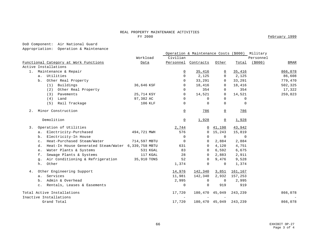### REAL PROPERTY MAINTENANCE ACTIVITIES<br>FY 2000

February 1999

DoD Component: Air National Guard

Appropriation: Operation & Maintenance

|       |                                                          |              |                          | Operation & Maintenance Costs (\$000) |                |             | Military  |             |
|-------|----------------------------------------------------------|--------------|--------------------------|---------------------------------------|----------------|-------------|-----------|-------------|
|       |                                                          | Workload     | Civilian                 |                                       |                |             | Personnel |             |
|       | Functional Category at Work Functions                    | Data         | Personnel                | Contracts                             | Other          | Total       | (5000)    | <b>BMAR</b> |
|       | Active Installations                                     |              |                          |                                       |                |             |           |             |
| 1.    | Maintenance & Repair                                     |              | $\overline{0}$           | 35,416                                | $\Omega$       | 35,416      |           | 866,078     |
|       | Utilities<br>a <sub>x</sub>                              |              | $\Omega$                 | 2,125                                 | $\Omega$       | 2,125       |           | 86,608      |
|       | Other Real Property<br>b.                                |              | $\Omega$                 | 33,291                                | $\Omega$       | 33,291      |           | 779,470     |
|       | (1) Buildings                                            | 36,646 KSF   | $\Omega$                 | 18,416                                | $\Omega$       | 18,416      |           | 502,325     |
|       | Other Real Property<br>(2)                               |              | $\mathbf 0$              | 354                                   | $\mathbf 0$    | 354         |           | 17,322      |
|       | Pavements<br>(3)                                         | 25,714 KSY   | $\mathbf 0$              | 14,521                                | 0              | 14,521      |           | 259,823     |
|       | (4)<br>Land                                              | 97,382 AC    | $\mathbf 0$              | $\Omega$                              | $\Omega$       | $\Omega$    |           |             |
|       | Rail Trackage<br>(5)                                     | 106 KLF      | $\mathbf 0$              | $\mathbf 0$                           | $\Omega$       | $\mathbf 0$ |           |             |
| $2$ . | Minor Construction                                       |              | $\overline{0}$           | 786                                   | 0              | 786         |           |             |
|       | Demolition                                               |              | $\underline{0}$          | 1,928                                 | $\overline{0}$ | 1,928       |           |             |
| 3.    | Operation of Utilities                                   |              | 2,744                    | $\overline{0}$                        | 41,198         | 43,942      |           |             |
|       | Electricity-Purchased<br>а.                              | 494,721 MWH  | 576                      | $\mathbf 0$                           | 15,243         | 15,819      |           |             |
|       | Electricity-In House<br>b.                               |              | $\mathbf 0$              | 0                                     | $\Omega$       | $\mathbf 0$ |           |             |
|       | Heat-Purchased Steam/Water<br>$\mathbf{c}$ .             | 714,597 MBTU | $\mathbf 0$              | 0                                     | 2,884          | 2,884       |           |             |
|       | Heat-In House Generated Steam/Water 6,339,758 MBTU<br>d. |              | 631                      | $\Omega$                              | 4,120          | 4,751       |           |             |
|       | Water Plants & Systems<br>e.                             | 531 KGAL     | 83                       | $\Omega$                              | 6,592          | 6,675       |           |             |
|       | Sewage Plants & Systems<br>f.                            | 117 KGAL     | 28                       | $\mathbf 0$                           | 2,883          | 2,911       |           |             |
|       | Air Conditioning & Refrigeration<br>g.                   | 35,910 TONS  | 52                       | $\mathbf 0$                           | 9,476          | 9,528       |           |             |
|       | Other<br>h.                                              |              | 1,374                    | $\mathbf 0$                           | $\Omega$       | 1,374       |           |             |
| 4.    | Other Engineering Support                                |              | 14,976                   | 142,340                               | 3,851          | 161,167     |           |             |
|       | Services<br>a.                                           |              | 11,981                   | 142,340                               | 2,932          | 157,253     |           |             |
|       | Admin & Overhead<br>$b$ .                                |              | 2,995                    | $\mathbf 0$                           | $\mathbf 0$    | 2,995       |           |             |
|       | Rentals, Leases & Easements<br>$\mathtt{C}$ .            |              | $\mathbf 0$              | $\mathbf 0$                           | 919            | 919         |           |             |
|       | Total Active Installations                               |              | 17,720                   | 180,470                               | 45,049         | 243,239     |           | 866,078     |
|       | Inactive Installations                                   |              | $\overline{\phantom{a}}$ |                                       |                |             |           |             |
|       | Grand Total                                              |              | 17,720                   | 180,470 45,049                        |                | 243,239     |           | 866,078     |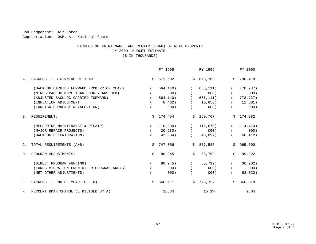DoD Component: Air Force Appropriation: O&M, Air National Guard

### BACKLOG OF MAINTENANCE AND REPAIR (BMAR) OF REAL PROPERTY FY 2000 BUDGET ESTIMATE

(\$ IN THOUSANDS)

|                |                                            |    | FY 1998   |                | FY 1999    |    | FY 2000   |
|----------------|--------------------------------------------|----|-----------|----------------|------------|----|-----------|
| Α.             | BACKLOG -- BEGINNING OF YEAR               | Ŝ. | 572,602   |                | \$676, 769 |    | \$790,418 |
|                | (BACKLOG CARRIED FORWARD FROM PRIOR YEARS) |    | 564, 140) |                | 666,111)   |    | 778,737)  |
|                | (MINUS BACLOG MORE THAN FOUR YEARS OLD)    |    | 000)      |                | 000)       |    | 000)      |
|                | (ADJUSTED BACKLOG CARRIED FORWARD)         |    | 564, 140) |                | 666,111)   |    | 778,737)  |
|                | (INFLATION ADJUSTMENT)                     |    | 8,462)    |                | 10,658)    |    | 11,681)   |
|                | (FOREIGN CURRENCY REVALUATION)             |    | 000)      |                | 000)       |    | 000)      |
| <b>B.</b>      | REQUIREMENT:                               |    | \$174,454 |                | \$160,767  |    | \$174,882 |
|                | (RECURRING MAINTENANCE & REPAIR)           |    | 110,890)  |                | 112,670)   |    | 114,470)  |
|                | (MAJOR REPAIR PROJECTS)                    |    | 20,930)   |                | 000)       |    | 000)      |
|                | (BACKLOG DETERIORATION)                    |    | 42,634)   |                | 48,097)    |    | 60, 412)  |
| $C_{\bullet}$  | TOTAL REOUIREMENTS (A+B)                   | Ŝ. | 747,056   | Ŝ.             | 837,536    |    | \$965,300 |
| D <sub>1</sub> | PROGRAM ADJUSTMENTS:                       | \$ | 80,945    | $\mathsf{S}^-$ | 58,799     | Ŝ. | 99,222    |
|                | (DIRECT PROGRAM FUNDING)                   |    | 80,945)   |                | 58,799)    |    | 36, 202)  |
|                | (FUNDS MIGRATION FROM OTHER PROGRAM AREAS) |    | 000)      |                | 000)       |    | 000)      |
|                | (NET OTHER ADJUSTMENTS)                    |    | 000)      |                | 000)       |    | 63,020)   |
| $E_{\perp}$    | BACKLOG $--$ END OF YEAR $(C - D)$         | Ŝ. | 666,111   | Ŝ.             | 778,737    |    | \$866,078 |
| F.             | PERCENT BMAR CHANGE (E DIVIDED BY A)       |    | 16.3%     |                | 15.1%      |    | 9.6%      |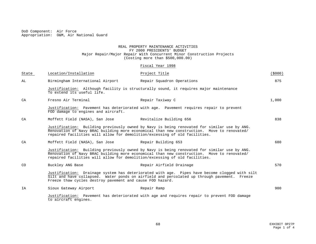DoD Component: Air Force Appropriation: O&M, Air National Guard

#### REAL PROPERTY MAINTENANCE ACTIVITIES FY 2000 PRESIDENTS' BUDGET Major Repair/Major Repair With Concurrent Minor Construction Projects (Costing more than \$500,000.00)

#### Fiscal Year 1998

| State     | Location/Installation                                     | Project Title                                                                                                                                                                                                                                                           | (5000) |
|-----------|-----------------------------------------------------------|-------------------------------------------------------------------------------------------------------------------------------------------------------------------------------------------------------------------------------------------------------------------------|--------|
| AL        | Birmingham International Airport                          | Repair Squadron Operations                                                                                                                                                                                                                                              | 875    |
|           | To extend its useful life.                                | Justification: Although facility is structurally sound, it requires major maintenance                                                                                                                                                                                   |        |
| CA        | Fresno Air Terminal                                       | Repair Taxiway C                                                                                                                                                                                                                                                        | 1,000  |
|           | FOD damage to engines and aircraft.                       | Justification: Pavement has deteriorated with age. Pavement requires repair to prevent                                                                                                                                                                                  |        |
| CA        | Moffett Field (NASA), San Jose                            | Revitalize Building 656                                                                                                                                                                                                                                                 | 838    |
|           |                                                           | Justification: Building previously owned by Navy is being renovated for similar use by ANG.<br>Renovation of Navy BRAC building more economical than new construction. Move to renovated/<br>repaired facilities will allow for demolition/excessing of old facilities. |        |
| CA        | Moffett Field (NASA), San Jose                            | Repair Building 653                                                                                                                                                                                                                                                     | 680    |
|           |                                                           | Justification: Building previously owned by Navy is being renovated for similar use by ANG.<br>Renovation of Navy BRAC building more economical than new construction. Move to renovated/<br>repaired facilities will allow for demolition/excessing of old facilities. |        |
| <b>CO</b> | Buckley ANG Base                                          | Repair Airfield Drainage                                                                                                                                                                                                                                                | 570    |
|           | Freeze thaw cycles destroy pavement and cause FOD hazard. | Justification: Drainage system has deteriorated with age. Pipes have become clogged with silt<br>Silt and have collapsed. Water ponds on airfield and percolated up through pavement. Freeze                                                                            |        |
| <b>TA</b> | Sioux Gateway Airport                                     | Repair Ramp                                                                                                                                                                                                                                                             | 900    |
|           | to aircraft engines.                                      | Justification: Pavement has deteriorated with age and requires repair to prevent FOD damage                                                                                                                                                                             |        |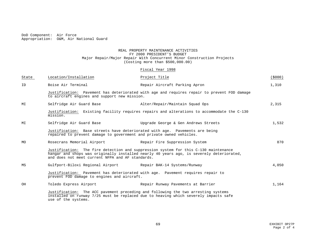DoD Component: Air Force Appropriation: O&M, Air National Guard

### REAL PROPERTY MAINTENANCE ACTIVITIES FY 2000 PRESIDENT'S BUDGET Major Repair/Major Repair With Concurrent Minor Construction Projects (Costing more than \$500,000.00)

# Fiscal Year 1998

| State | Location/Installation                                                                                                                                                                                                               | Project Title                                                 | (5000) |
|-------|-------------------------------------------------------------------------------------------------------------------------------------------------------------------------------------------------------------------------------------|---------------------------------------------------------------|--------|
| ID    | Boise Air Terminal                                                                                                                                                                                                                  | Repair Aircraft Parking Apron                                 | 1,310  |
|       | Justification: Pavement has deteriorated with age and requires repair to prevent FOD damage<br>to aircraft engines and support new mission.                                                                                         |                                                               |        |
| МI    |                                                                                                                                                                                                                                     | Selfridge Air Guard Base The Multer/Repair/Maintain Squad Ops | 2,315  |
|       | Justification: Existing facility requires repairs and alterations to accommodate the C-130<br>mission.                                                                                                                              |                                                               |        |
| МI    | Selfridge Air Guard Base                                                                                                                                                                                                            | Upgrade George & Gen Andrews Streets                          | 1,532  |
|       | Justification: Base streets have deteriorated with age. Pavements are being<br>repaired to prevent damage to government and private owned vehicles.                                                                                 |                                                               |        |
| MO    | Rosecrans Memorial Airport                                                                                                                                                                                                          | Repair Fire Suppression System                                | 870    |
|       | Justification: The fire detection and suppression system for this C-130 maintenance<br>hangar and shops was originally installed nearly 40 years ago, is severely deteriorated,<br>and does not meet current NFPA and AF standards. |                                                               |        |
| ΜS    |                                                                                                                                                                                                                                     | Gulfport-Biloxi Regional Airport Repair BAK-14 Systems/Runway | 4,050  |
|       | Justification: Pavement has deteriorated with age. Pavement requires repair to<br>prevent FOD damage to engines and aircraft.                                                                                                       |                                                               |        |
| OH    | Toledo Express Airport                                                                                                                                                                                                              | Repair Runway Pavements at Barrier                            | 1,164  |
|       | Justification: The ACC pavement preceding and following the two arresting systems<br>installed on runway 7/25 must be replaced due to heaving which severely impacts safe<br>use of the systems.                                    |                                                               |        |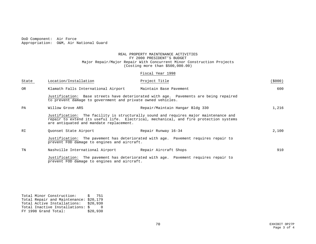DoD Component: Air Force Appropriation: O&M, Air National Guard

#### REAL PROPERTY MAINTENANCE ACTIVITIES FY 2000 PRESIDENT'S BUDGET Major Repair/Major Repair With Concurrent Minor Construction Projects (Costing more than \$500,000.00)

# Fiscal Year 1998

| State     | Location/Installation                                                                                                                                                                                                    | Project Title                   | (\$000) |
|-----------|--------------------------------------------------------------------------------------------------------------------------------------------------------------------------------------------------------------------------|---------------------------------|---------|
| <b>OR</b> | Klamath Falls International Airport                                                                                                                                                                                      | Maintain Base Pavement          | 600     |
|           | Justification: Base streets have deteriorated with age. Pavements are being repaired<br>to prevent damage to government and private owned vehicles.                                                                      |                                 |         |
| PA        | Willow Grove ARS                                                                                                                                                                                                         | Repair/Maintain Hangar Bldg 330 | 1,216   |
|           | Justification: The facility is structurally sound and requires major maintenance and<br>repair to extend its useful life. Electrical, mechanical, and fire protection systems<br>are antiquated and mandate replacement. |                                 |         |
| RI        | Quonset State Airport                                                                                                                                                                                                    | Repair Runway 16-34             | 2,100   |
|           | Justification: The pavement has deteriorated with age. Pavement requires repair to<br>prevent FOD damage to engines and aircraft.                                                                                        |                                 |         |
| TN        | Nashville International Airport                                                                                                                                                                                          | Repair Aircraft Shops           | 910     |
|           | Justification: The pavement has deteriorated with age. Pavement requires repair to<br>prevent FOD damage to engines and aircraft.                                                                                        |                                 |         |

Total Minor Construction: \$ 751 Total Repair and Maintenance: \$20,179 Total Active Installations: \$20,930 Total Inactive Installations: \$ 0 FY 1998 Grand Total: \$20,930